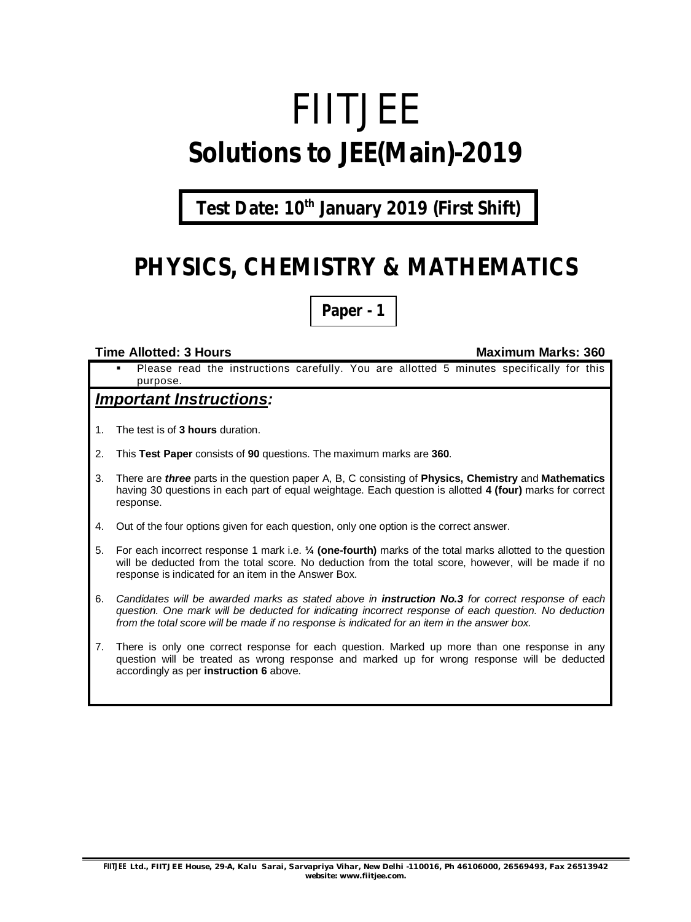# FIITJEE **Solutions to JEE(Main)-2019**

**Test Date: 10th January 2019 (First Shift)**

# **PHYSICS, CHEMISTRY & MATHEMATICS**

**Paper - 1**

#### **Time Allotted: 3 Hours Maximum Marks: 360**

 Please read the instructions carefully. You are allotted 5 minutes specifically for this purpose.

## *Important Instructions:*

- 1. The test is of **3 hours** duration.
- 2. This **Test Paper** consists of **90** questions. The maximum marks are **360**.
- 3. There are *three* parts in the question paper A, B, C consisting of **Physics, Chemistry** and **Mathematics** having 30 questions in each part of equal weightage. Each question is allotted **4 (four)** marks for correct response.
- 4. Out of the four options given for each question, only one option is the correct answer.
- 5. For each incorrect response 1 mark i.e. **¼ (one-fourth)** marks of the total marks allotted to the question will be deducted from the total score. No deduction from the total score, however, will be made if no response is indicated for an item in the Answer Box.
- 6. *Candidates will be awarded marks as stated above in instruction No.3 for correct response of each question. One mark will be deducted for indicating incorrect response of each question. No deduction from the total score will be made if no response is indicated for an item in the answer box.*
- 7. There is only one correct response for each question. Marked up more than one response in any question will be treated as wrong response and marked up for wrong response will be deducted accordingly as per **instruction 6** above.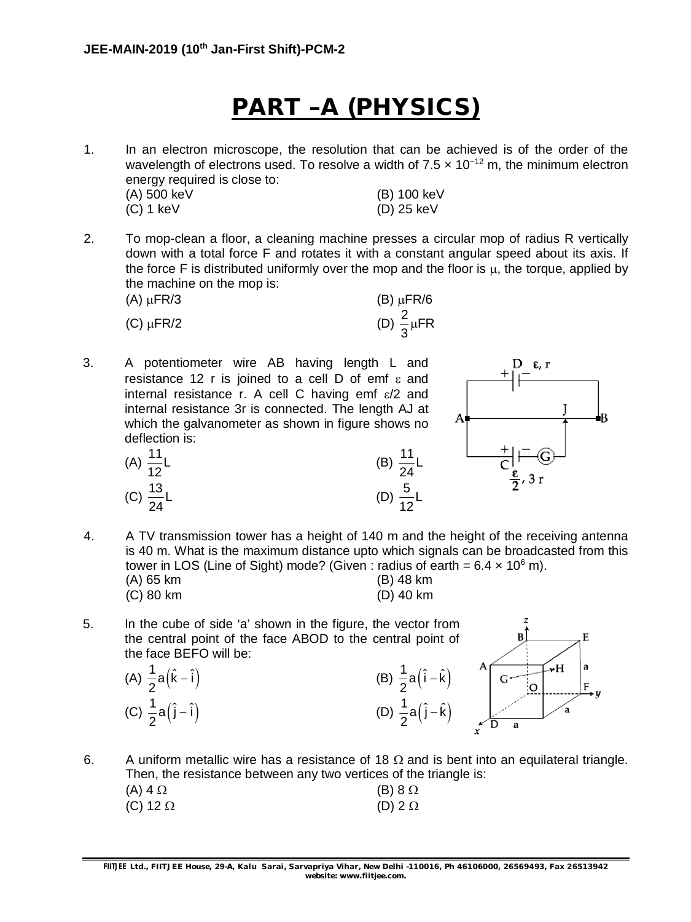# **PART –A (PHYSICS)**

1. In an electron microscope, the resolution that can be achieved is of the order of the wavelength of electrons used. To resolve a width of  $7.5 \times 10^{-12}$  m, the minimum electron energy required is close to:

| (A) 500 keV | (B) 100 keV  |
|-------------|--------------|
| (C) 1 keV   | $(D)$ 25 keV |

2. To mop-clean a floor, a cleaning machine presses a circular mop of radius R vertically down with a total force F and rotates it with a constant angular speed about its axis. If the force F is distributed uniformly over the mop and the floor is  $\mu$ , the torque, applied by the machine on the mop is:

| $(A)$ $\mu$ FR/3 | $(B) \mu FR/6$           |
|------------------|--------------------------|
| $(C) \mu FR/2$   | (D) $\frac{2}{3} \mu FR$ |

3. A potentiometer wire AB having length L and resistance 12 r is joined to a cell D of emf  $\varepsilon$  and internal resistance r. A cell C having emf  $\varepsilon/2$  and internal resistance 3r is connected. The length AJ at which the galvanometer as shown in figure shows no deflection is: (B)  $\frac{11}{21}$ L









4. A TV transmission tower has a height of 140 m and the height of the receiving antenna is 40 m. What is the maximum distance upto which signals can be broadcasted from this tower in LOS (Line of Sight) mode? (Given : radius of earth =  $6.4 \times 10^6$  m).

24

(D)  $\frac{5}{12}$ L 12

| $(A)$ 65 km |  |  | (B) 48 km   |  |
|-------------|--|--|-------------|--|
| $(C)$ 80 km |  |  | $(D)$ 40 km |  |

5. In the cube of side 'a' shown in the figure, the vector from the central point of the face ABOD to the central point of the face BEFO will be: (A)  $\frac{1}{2}a(\hat{k}-\hat{i})$  $-{\hat{i}}$ ) (B)  $\frac{1}{2}a({\hat{i}} - {\hat{k}})$ -

2 (C)  $\frac{1}{2}a(\hat{j}-\hat{i})$ 2

E  $\rightarrow$ H 2  $- \hat{i}$ ) (D)  $\frac{1}{2} a (\hat{j} - \hat{k})$ -2

6. A uniform metallic wire has a resistance of 18  $\Omega$  and is bent into an equilateral triangle. Then, the resistance between any two vertices of the triangle is: (A)  $4 \Omega$  (B)  $8 \Omega$ 

| (C) 12 $\Omega$ | (D) $2 \Omega$ |
|-----------------|----------------|
|                 |                |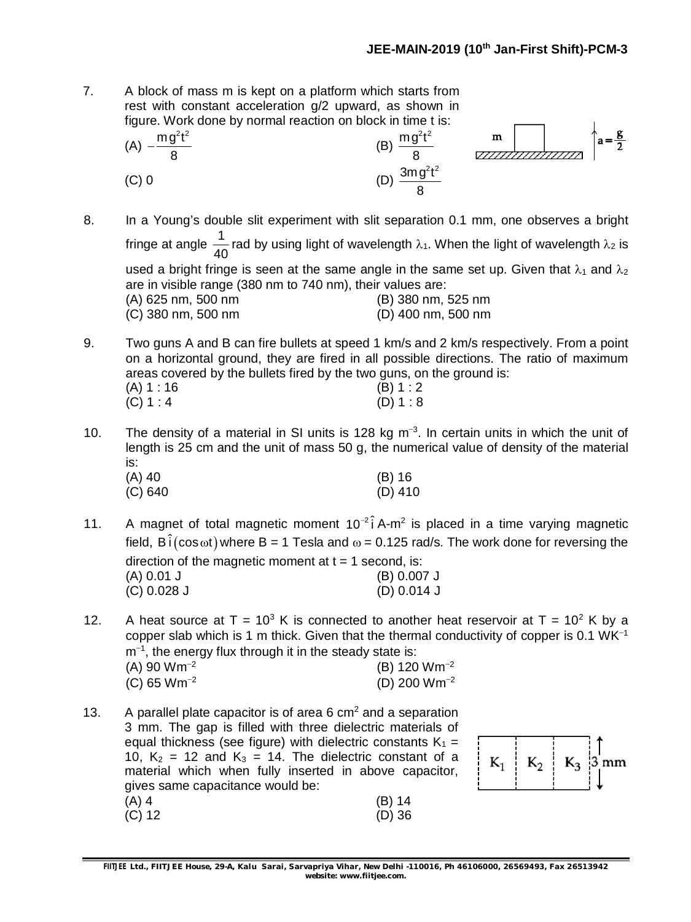7. A block of mass m is kept on a platform which starts from rest with constant acceleration g/2 upward, as shown in figure. Work done by normal reaction on block in time t is:

(A) 
$$
-\frac{mg^2t^2}{8}
$$
  
\n(B)  $\frac{mg^2t^2}{8}$   
\n(C) 0  
\n(D)  $\frac{3mg^2t^2}{8}$ 

- 8. In a Young's double slit experiment with slit separation 0.1 mm, one observes a bright fringe at angle  $\frac{1}{16}$ 40 rad by using light of wavelength  $\lambda_1$ . When the light of wavelength  $\lambda_2$  is used a bright fringe is seen at the same angle in the same set up. Given that  $\lambda_1$  and  $\lambda_2$ are in visible range (380 nm to 740 nm), their values are: (A) 625 nm, 500 nm (B) 380 nm, 525 nm (C) 380 nm, 500 nm (D) 400 nm, 500 nm
- 9. Two guns A and B can fire bullets at speed 1 km/s and 2 km/s respectively. From a point on a horizontal ground, they are fired in all possible directions. The ratio of maximum areas covered by the bullets fired by the two guns, on the ground is:

| (A) 1 : 16 |  | (B) 1:2 |
|------------|--|---------|
| (C) 1 : 4  |  | (D) 1:8 |

10. The density of a material in SI units is 128 kg  $m^{-3}$ . In certain units in which the unit of length is 25 cm and the unit of mass 50 g, the numerical value of density of the material is:

| (A) 40  | $(B)$ 16  |
|---------|-----------|
| (C) 640 | $(D)$ 410 |

- 11. A magnet of total magnetic moment  $10^{-2}$ i A-m<sup>2</sup> is placed in a time varying magnetic field,  $B\hat{i}(\cos \omega t)$  where B = 1 Tesla and  $\omega$  = 0.125 rad/s. The work done for reversing the direction of the magnetic moment at  $t = 1$  second, is: (A) 0.01 J (B) 0.007 J (C) 0.028 J (D) 0.014 J
- 12. A heat source at  $T = 10^3$  K is connected to another heat reservoir at  $T = 10^2$  K by a copper slab which is 1 m thick. Given that the thermal conductivity of copper is 0.1  $WK^{-1}$  $m<sup>-1</sup>$ , the energy flux through it in the steady state is:

| $(A)$ 90 Wm <sup>-2</sup> | (B) 120 $Wm^{-2}$ |
|---------------------------|-------------------|
| (C) 65 $Wm^{-2}$          | (D) 200 $Wm^{-2}$ |

13. A parallel plate capacitor is of area 6  $\text{cm}^2$  and a separation 3 mm. The gap is filled with three dielectric materials of equal thickness (see figure) with dielectric constants  $K_1 =$ 10,  $K_2$  = 12 and  $K_3$  = 14. The dielectric constant of a material which when fully inserted in above capacitor, gives same capacitance would be: (A) 4 (B) 14 (C) 12 (D) 36

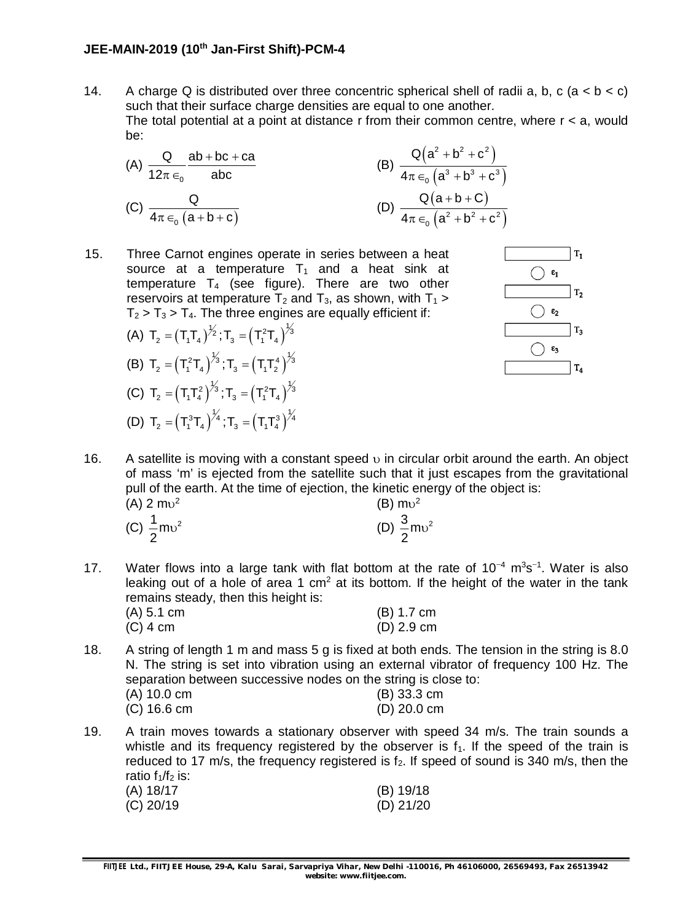14. A charge Q is distributed over three concentric spherical shell of radii a, b, c (a  $\lt$  b  $\lt$  c) such that their surface charge densities are equal to one another. The total potential at a point at distance  $r$  from their common centre, where  $r < a$ , would be:

(A) 
$$
\frac{Q}{12\pi \epsilon_0} \frac{ab + bc + ca}{abc}
$$
  
\n(B)  $\frac{Q(a^2 + b^2 + c^2)}{4\pi \epsilon_0 (a^3 + b^3 + c^3)}$   
\n(C)  $\frac{Q}{4\pi \epsilon_0 (a + b + c)}$   
\n(D)  $\frac{Q(a + b + C)}{4\pi \epsilon_0 (a^2 + b^2 + c^2)}$ 

15. Three Carnot engines operate in series between a heat source at a temperature  $T_1$  and a heat sink at temperature  $T_4$  (see figure). There are two other reservoirs at temperature  $T_2$  and  $T_3$ , as shown, with  $T_1$  >  $T_2 > T_3 > T_4$ . The three engines are equally efficient if:

(A) 
$$
T_2 = (T_1T_4)^{\frac{1}{2}}; T_3 = (T_1^2T_4)^{\frac{1}{3}}
$$
  
\n(B)  $T_2 = (T_1^2T_4)^{\frac{1}{3}}; T_3 = (T_1T_2^4)^{\frac{1}{3}}$   
\n(C)  $T_2 = (T_1T_4^2)^{\frac{1}{3}}; T_3 = (T_1^2T_4)^{\frac{1}{3}}$   
\n(D)  $T_2 = (T_1^3T_4)^{\frac{1}{4}}; T_3 = (T_1T_4^3)^{\frac{1}{4}}$ 



16. A satellite is moving with a constant speed  $\upsilon$  in circular orbit around the earth. An object of mass 'm' is ejected from the satellite such that it just escapes from the gravitational pull of the earth. At the time of ejection, the kinetic energy of the object is: (A) 2  $mv^2$ (B)  $mv^2$ 

| $\sqrt{ }$                        |                                   |
|-----------------------------------|-----------------------------------|
| (C) $\frac{1}{2}$ mv <sup>2</sup> | (D) $\frac{3}{2}$ mv <sup>2</sup> |
|                                   |                                   |

17. Water flows into a large tank with flat bottom at the rate of  $10^{-4}$  m<sup>3</sup>s<sup>-1</sup>. Water is also leaking out of a hole of area 1  $cm<sup>2</sup>$  at its bottom. If the height of the water in the tank remains steady, then this height is:

| (A) 5.1 cm | $(B)$ 1.7 cm |
|------------|--------------|
| (C) 4 cm   | $(D)$ 2.9 cm |

18. A string of length 1 m and mass 5 g is fixed at both ends. The tension in the string is 8.0 N. The string is set into vibration using an external vibrator of frequency 100 Hz. The separation between successive nodes on the string is close to:

| (A) 10.0 cm | $(B)$ 33.3 cm |
|-------------|---------------|
| (C) 16.6 cm | $(D)$ 20.0 cm |

19. A train moves towards a stationary observer with speed 34 m/s. The train sounds a whistle and its frequency registered by the observer is  $f_1$ . If the speed of the train is reduced to 17 m/s, the frequency registered is  $f_2$ . If speed of sound is 340 m/s, then the ratio  $f_1/f_2$  is:

| (A) 18/17 | (B) 19/18   |
|-----------|-------------|
| (C) 20/19 | $(D)$ 21/20 |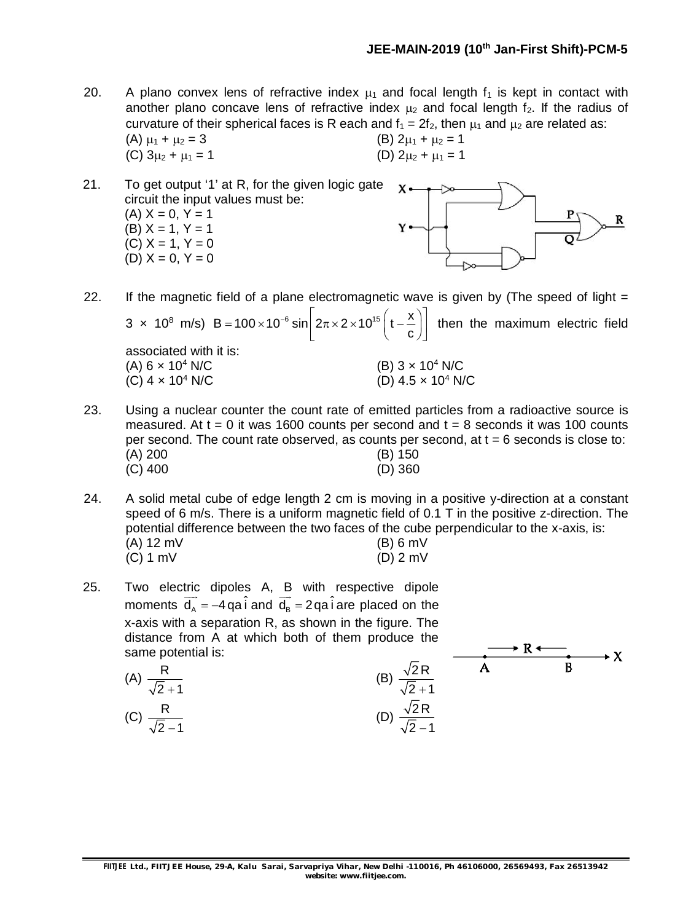$\longrightarrow R \longleftarrow$ 

R

20. A plano convex lens of refractive index  $\mu_1$  and focal length  $f_1$  is kept in contact with another plano concave lens of refractive index  $\mu_2$  and focal length f<sub>2</sub>. If the radius of curvature of their spherical faces is R each and  $f_1 = 2f_2$ , then  $\mu_1$  and  $\mu_2$  are related as: (A)  $\mu_1 + \mu_2 = 3$  (B)  $2\mu_1 + \mu_2 = 1$ (C)  $3\mu_2 + \mu_1 = 1$  (D)  $2\mu_2 + \mu_1 = 1$ 

21. To get output '1' at R, for the given logic gate  $\mathbf{Y}$ circuit the input values must be:  $(A) X = 0, Y = 1$  $(B) X = 1, Y = 1$  $(C) X = 1, Y = 0$ (D)  $X = 0, Y = 0$ 

- 22. If the magnetic field of a plane electromagnetic wave is given by (The speed of light  $=$  $3 \times 10^8$  m/s) B = 100  $\times 10^{-6}$  sin  $2\pi \times 2 \times 10^{15}$  (t -  $\frac{\text{X}}{\text{X}}$ c = 100 × 10<sup>-6</sup> sin  $\left[2\pi \times 2 \times 10^{15} \left(t-\frac{x}{c}\right)\right]$  then the maximum electric field associated with it is: (A)  $6 \times 10^4$  N/C (B)  $3 \times 10^4$  N/C (C)  $4 \times 10^4$  N/C (D)  $4.5 \times 10^4$  N/C
- 23. Using a nuclear counter the count rate of emitted particles from a radioactive source is measured. At  $t = 0$  it was 1600 counts per second and  $t = 8$  seconds it was 100 counts per second. The count rate observed, as counts per second, at  $t = 6$  seconds is close to: (A) 200 (B) 150 (C) 400 (D) 360
- 24. A solid metal cube of edge length 2 cm is moving in a positive y-direction at a constant speed of 6 m/s. There is a uniform magnetic field of 0.1 T in the positive z-direction. The potential difference between the two faces of the cube perpendicular to the x-axis, is: (A) 12 mV (B) 6 mV (C) 1 mV (D) 2 mV
- 25. Two electric dipoles A, B with respective dipole moments  $\overrightarrow{d_A} = -4$  qa i and  $\overrightarrow{d_B} = 2$  qa i are placed on the x-axis with a separation R, as shown in the figure. The distance from A at which both of them produce the same potential is:

 $(A)$ 

 $(C)$ 

The potential is:  
\n
$$
\frac{R}{\sqrt{2}+1}
$$
\n
$$
\frac{R}{\sqrt{2}-1}
$$
\n(B)\n
$$
\frac{\sqrt{2}R}{\sqrt{2}+1}
$$
\n(C)\n
$$
\frac{\sqrt{2}R}{\sqrt{2}-1}
$$
\n(D)\n
$$
\frac{\sqrt{2}R}{\sqrt{2}-1}
$$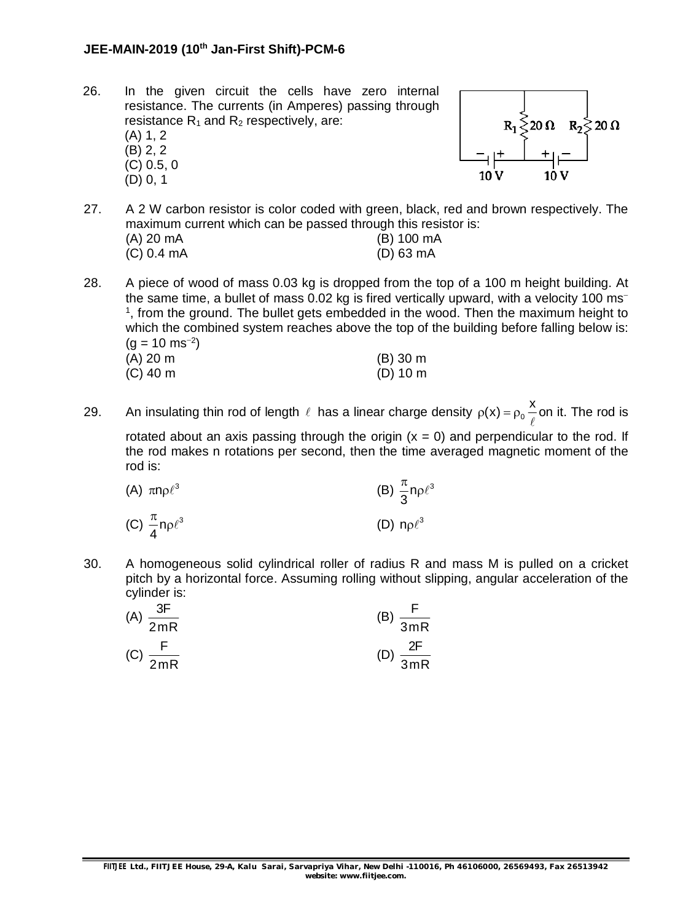- 26. In the given circuit the cells have zero internal resistance. The currents (in Amperes) passing through resistance  $R_1$  and  $R_2$  respectively, are: (A) 1, 2
	- (B) 2, 2 (C) 0.5, 0 (D) 0, 1



- 27. A 2 W carbon resistor is color coded with green, black, red and brown respectively. The maximum current which can be passed through this resistor is: (A) 20 mA (B) 100 mA (C) 0.4 mA (D) 63 mA
- 28. A piece of wood of mass 0.03 kg is dropped from the top of a 100 m height building. At the same time, a bullet of mass 0.02 kg is fired vertically upward, with a velocity 100 ms <sup>1</sup>, from the ground. The bullet gets embedded in the wood. Then the maximum height to which the combined system reaches above the top of the building before falling below is:  $(g = 10 \text{ ms}^{-2})$

| (A) 20 m | $(B)$ 30 m |
|----------|------------|
| (C) 40 m | $(D)$ 10 m |

29. An insulating thin rod of length  $\ell$  has a linear charge density  $\rho(x) = \rho_0 \frac{x}{\ell}$  $\ell$ on it. The rod is rotated about an axis passing through the origin  $(x = 0)$  and perpendicular to the rod. If the rod makes n rotations per second, then the time averaged magnetic moment of the rod is:

| (A) $\pi n \rho \ell^3$             | (B) $\frac{\pi}{3}$ n $\rho \ell^3$ |
|-------------------------------------|-------------------------------------|
| (C) $\frac{\pi}{4}$ n $\rho \ell^3$ | (D) $n\rho \ell^3$                  |

30. A homogeneous solid cylindrical roller of radius R and mass M is pulled on a cricket pitch by a horizontal force. Assuming rolling without slipping, angular acceleration of the cylinder is:

| Ω⊏<br>(A)<br>2mR | 3mR |
|------------------|-----|
| (C)              | 2F  |
| 2mR              | 3mR |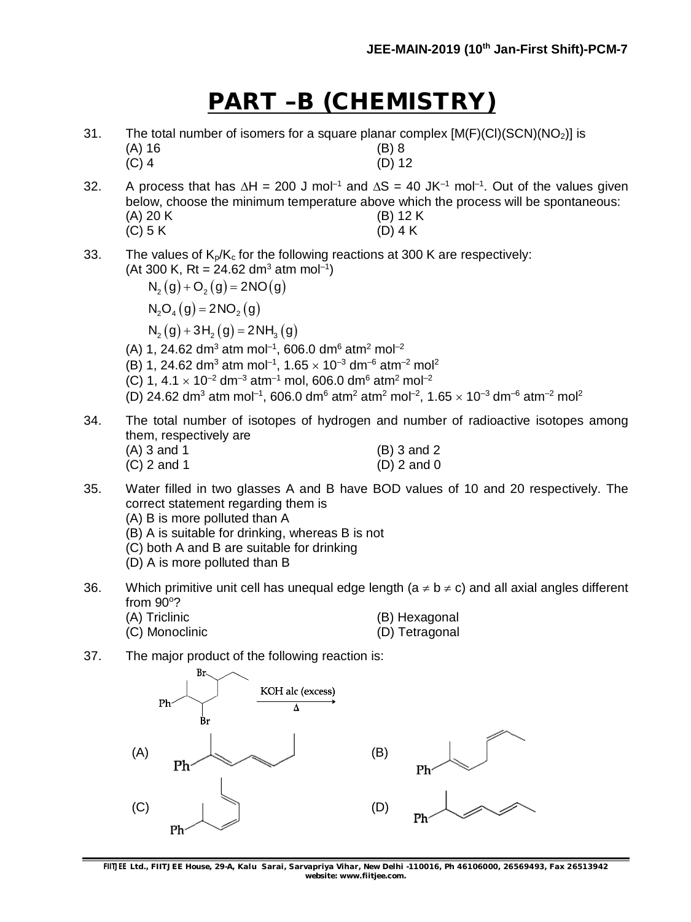# **PART –B (CHEMISTRY)**

- 31. The total number of isomers for a square planar complex  $[M(F)(Cl)(SCN)(NO<sub>2</sub>)]$  is (A) 16  $(A) 16$ (C) 4 (D) 12
- 32. A process that has  $\Delta H = 200$  J mol<sup>-1</sup> and  $\Delta S = 40$  JK<sup>-1</sup> mol<sup>-1</sup>. Out of the values given below, choose the minimum temperature above which the process will be spontaneous: (A) 20 K (B) 12 K (C) 5 K (D) 4 K
- 33. The values of  $K_p/K_c$  for the following reactions at 300 K are respectively: (At 300 K, Rt = 24.62 dm<sup>3</sup> atm mol<sup>-1</sup>)

 $N_2(g) + O_2(g) = 2NO(g)$  $N_2O_4(g) = 2NO_2(g)$  $N_2(g) + 3H_2(g) = 2NH_3(g)$ 

- (A) 1, 24.62 dm<sup>3</sup> atm mol<sup>-1</sup>, 606.0 dm<sup>6</sup> atm<sup>2</sup> mol<sup>-2</sup>
- (B) 1, 24.62 dm<sup>3</sup> atm mol<sup>-1</sup>, 1.65  $\times$  10<sup>-3</sup> dm<sup>-6</sup> atm<sup>-2</sup> mol<sup>2</sup>
- (C) 1,  $4.1 \times 10^{-2}$  dm<sup>-3</sup> atm<sup>-1</sup> mol, 606.0 dm<sup>6</sup> atm<sup>2</sup> mol<sup>-2</sup>
- (D) 24.62 dm<sup>3</sup> atm mol<sup>-1</sup>, 606.0 dm<sup>6</sup> atm<sup>2</sup> atm<sup>2</sup> mol<sup>-2</sup>, 1.65  $\times$  10<sup>-3</sup> dm<sup>-6</sup> atm<sup>-2</sup> mol<sup>2</sup>
- 34. The total number of isotopes of hydrogen and number of radioactive isotopes among them, respectively are

| (A) 3 and 1 | $(B)$ 3 and 2 |
|-------------|---------------|
| (C) 2 and 1 | $(D)$ 2 and 0 |

- 35. Water filled in two glasses A and B have BOD values of 10 and 20 respectively. The correct statement regarding them is
	- (A) B is more polluted than A
	- (B) A is suitable for drinking, whereas B is not
	- (C) both A and B are suitable for drinking
	- (D) A is more polluted than B
- 36. Which primitive unit cell has unequal edge length ( $a \ne b \ne c$ ) and all axial angles different from  $90^\circ$ ?
	- (A) Triclinic (B) Hexagonal
	- (C) Monoclinic (D) Tetragonal
- 
- 37. The major product of the following reaction is:



**FIITJEE** *Ltd., FIITJEE House, 29-A, Kalu Sarai, Sarvapriya Vihar, New Delhi -110016, Ph 46106000, 26569493, Fax 26513942 website: [www.fiitjee.com.](http://www.fiitjee.com.)*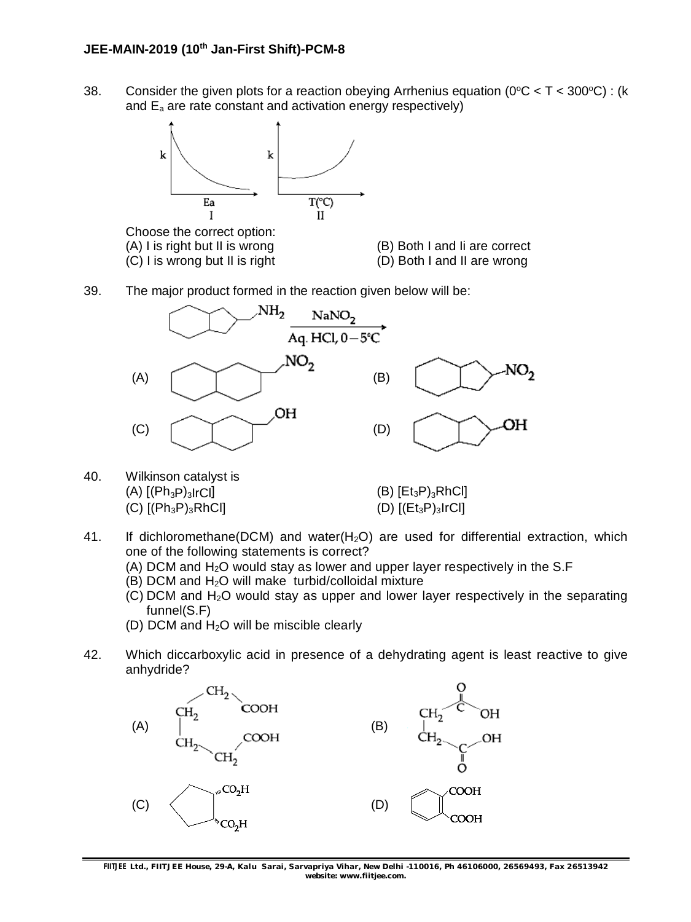38. Consider the given plots for a reaction obeying Arrhenius equation ( $0^{\circ}C < T < 300^{\circ}C$ ): (k and  $E_a$  are rate constant and activation energy respectively)



Choose the correct option: (A) I is right but II is wrong (B) Both I and Ii are correct (C) I is wrong but II is right (D) Both I and II are wrong



39. The major product formed in the reaction given below will be:



40. Wilkinson catalyst is (A)  $[(Ph_3P)_3$ IrCl]  $(B) [Et_3P)_3RhCl]$ (C)  $[(Ph_3P)_3RhCl]$  (D)  $[(Et_3P)_3IrCl]$ 

- 41. If dichloromethane(DCM) and water( $H_2O$ ) are used for differential extraction, which one of the following statements is correct?
	- (A) DCM and  $H_2O$  would stay as lower and upper layer respectively in the S.F
	- $(B)$  DCM and  $H<sub>2</sub>O$  will make turbid/colloidal mixture
	- $(C)$  DCM and H<sub>2</sub>O would stay as upper and lower layer respectively in the separating funnel(S.F)
	- (D) DCM and H2O will be miscible clearly
- 42. Which diccarboxylic acid in presence of a dehydrating agent is least reactive to give anhydride?

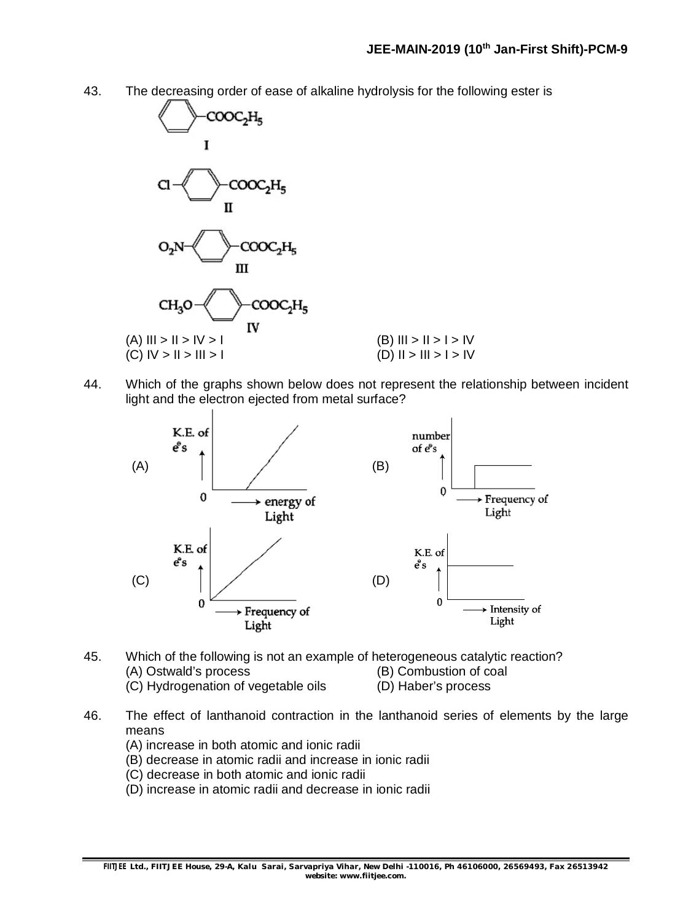43. The decreasing order of ease of alkaline hydrolysis for the following ester is



44. Which of the graphs shown below does not represent the relationship between incident light and the electron ejected from metal surface?



- 45. Which of the following is not an example of heterogeneous catalytic reaction? (A) Ostwald's process (B) Combustion of coal (C) Hydrogenation of vegetable oils (D) Haber's process
- 46. The effect of lanthanoid contraction in the lanthanoid series of elements by the large means
	- (A) increase in both atomic and ionic radii
	- (B) decrease in atomic radii and increase in ionic radii
	- (C) decrease in both atomic and ionic radii
	- (D) increase in atomic radii and decrease in ionic radii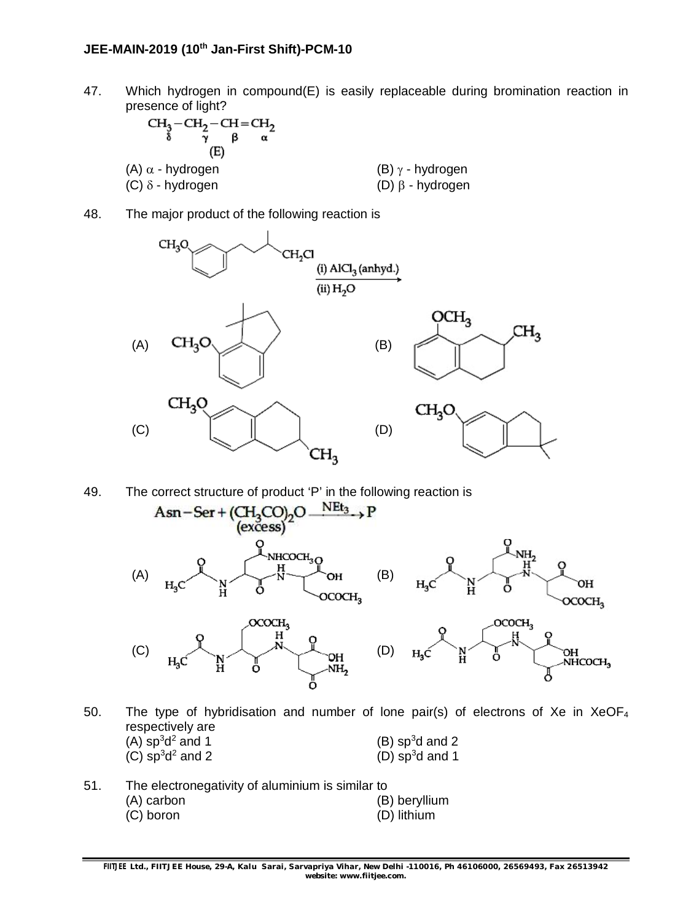47. Which hydrogen in compound(E) is easily replaceable during bromination reaction in presence of light?

| $CH3-CH2-CH=CH2$<br>α<br>(E) |                           |
|------------------------------|---------------------------|
| $(A)$ $\alpha$ - hydrogen    | $(B)$ $\gamma$ - hydrogen |
| $(C)$ $\delta$ - hydrogen    | $(D)$ $\beta$ - hydrogen  |

48. The major product of the following reaction is





- 50. The type of hybridisation and number of lone pair(s) of electrons of Xe in  $XeOF_4$ respectively are  $(A)$  sp<sup>3</sup>d<sup>2</sup> and 1  $(B)$  sp<sup>3</sup>d and 2  $(C)$  sp<sup>3</sup>d<sup>2</sup> and 2  $(D)$  sp<sup>3</sup>d and 1
- 51. The electronegativity of aluminium is similar to<br>(A) carbon (B) beryllium (C) boron (D) lithium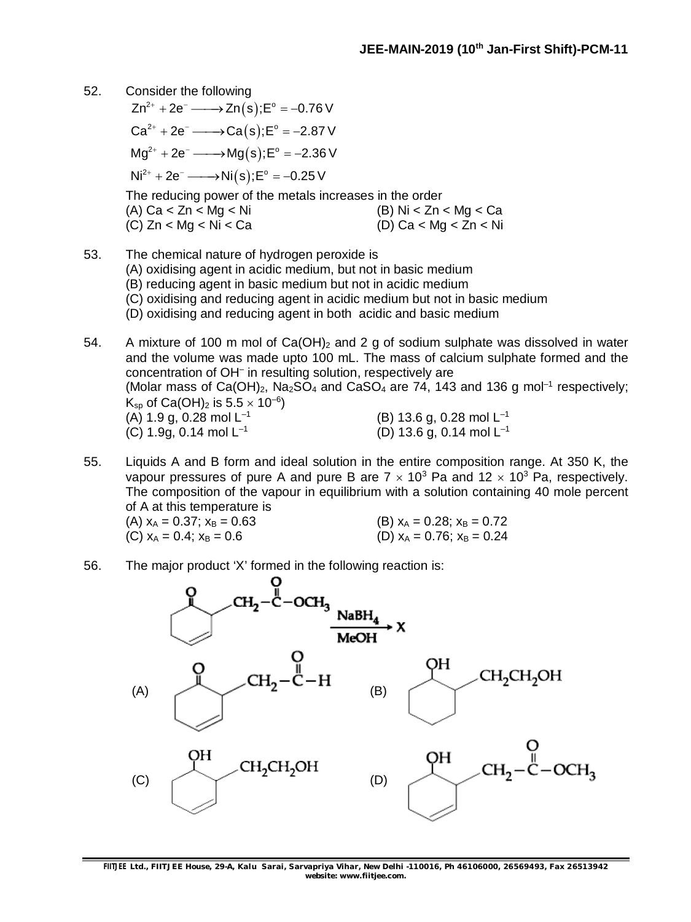- 52. Consider the following
	- $Zn^{2+} + 2e^- \longrightarrow Zn(s);E^{\circ} = -0.76 \text{ V}$  $Ca^{2+} + 2e^- \longrightarrow Ca(s);E^{\circ} = -2.87 \text{ V}$  $Mg^{2+} + 2e^- \longrightarrow Mg(s); E^{\circ} = -2.36 \text{ V}$  $Ni^{2+} + 2e^- \longrightarrow Ni(s); E^{\circ} = -0.25 \text{ V}$ The reducing power of the metals increases in the order  $(A)$  Ca < Zn < Mg < Ni  $(B)$  Ni < Zn < Mg < Ca  $(C)$  Zn < Mg < Ni < Ca (D) Ca < Mg < Zn < Ni
- 53. The chemical nature of hydrogen peroxide is (A) oxidising agent in acidic medium, but not in basic medium (B) reducing agent in basic medium but not in acidic medium (C) oxidising and reducing agent in acidic medium but not in basic medium (D) oxidising and reducing agent in both acidic and basic medium

54. A mixture of 100 m mol of  $Ca(OH)_2$  and 2 g of sodium sulphate was dissolved in water and the volume was made upto 100 mL. The mass of calcium sulphate formed and the concentration of OH– in resulting solution, respectively are (Molar mass of Ca(OH)<sub>2</sub>, Na<sub>2</sub>SO<sub>4</sub> and CaSO<sub>4</sub> are 74, 143 and 136 g mol<sup>-1</sup> respectively;  $\mathsf{K}_{\mathsf{sp}}$  of Ca(OH)<sub>2</sub> is 5.5  $\times$  10<sup>-6</sup>)  $(A)$  1.9 g, 0.28 mol  $L^{-1}$ (B) 13.6 g, 0.28 mol L–1 (C) 1.9g, 0.14 mol  $L^{-1}$ (D) 13.6 g, 0.14 mol L–1

55. Liquids A and B form and ideal solution in the entire composition range. At 350 K, the vapour pressures of pure A and pure B are  $7 \times 10^3$  Pa and  $12 \times 10^3$  Pa, respectively. The composition of the vapour in equilibrium with a solution containing 40 mole percent of A at this temperature is

(A)  $x_A = 0.37$ ;  $x_B = 0.63$  (B)  $x_A = 0.28$ ;  $x_B = 0.72$ (C)  $x_A = 0.4$ ;  $x_B = 0.6$  (D)  $x_A = 0.76$ ;  $x_B = 0.24$ 

56. The major product 'X' formed in the following reaction is:

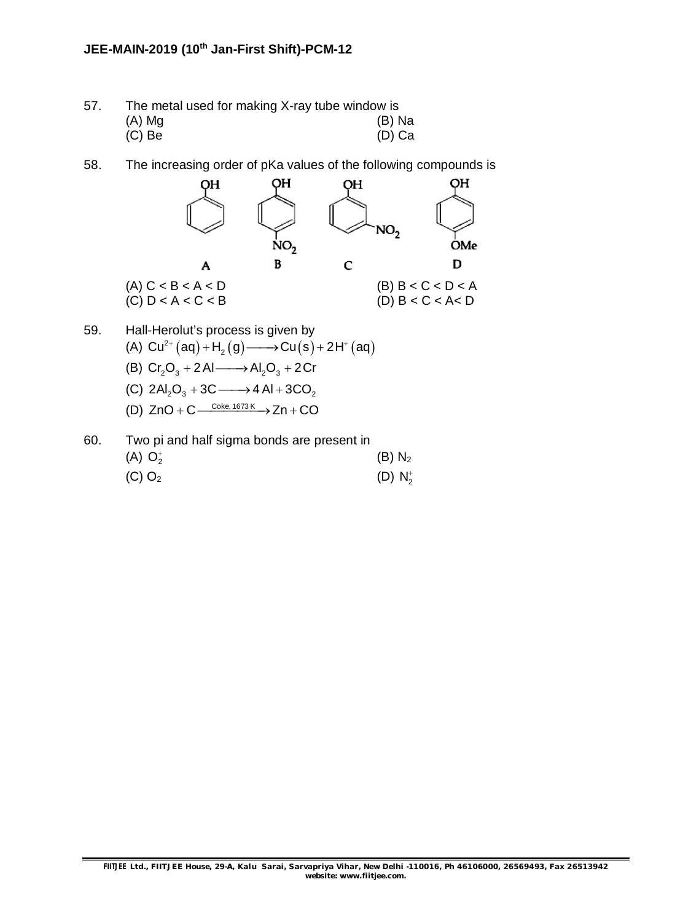| 57. | The metal used for making X-ray tube window is |          |
|-----|------------------------------------------------|----------|
|     | $(A)$ Mg                                       | $(B)$ Na |
|     | $(C)$ Be                                       | $(D)$ Ca |

58. The increasing order of pKa values of the following compounds is



60. Two pi and half sigma bonds are present in (A)  $O_2^+$  $(B)$   $N<sub>2</sub>$ (C)  $O_2$  (D)  $N_2^+$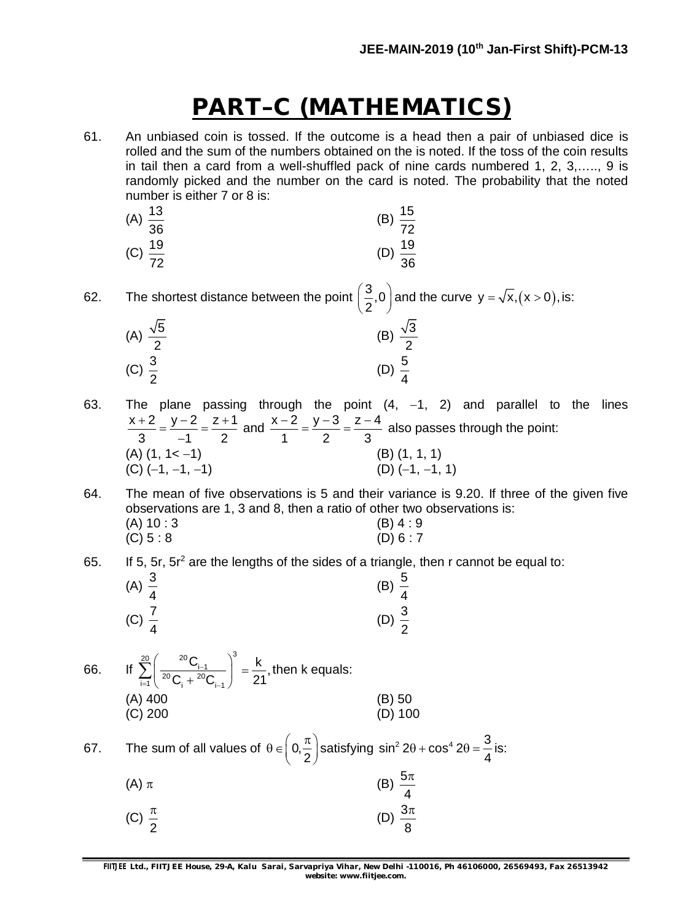# **PART–C (MATHEMATICS)**

61. An unbiased coin is tossed. If the outcome is a head then a pair of unbiased dice is rolled and the sum of the numbers obtained on the is noted. If the toss of the coin results in tail then a card from a well-shuffled pack of nine cards numbered 1, 2, 3,….., 9 is randomly picked and the number on the card is noted. The probability that the noted number is either 7 or 8 is:

| (A) $\frac{13}{36}$ | (B) $\frac{15}{72}$ |
|---------------------|---------------------|
| (C) $\frac{19}{72}$ | (D) $\frac{19}{36}$ |

62. The shortest distance between the point  $\left(\frac{3}{6},0\right)$  $\left(\frac{3}{2}, 0\right)$  and the curve y =  $\sqrt{x}$ , (x > 0), is:

| (A) $\frac{\sqrt{5}}{2}$ | (B) $\frac{\sqrt{3}}{2}$ |
|--------------------------|--------------------------|
| (C) $\frac{3}{2}$        | (D) $\frac{5}{4}$        |

- 63. The plane passing through the point  $(4, -1, 2)$  and parallel to the lines  $x + 2$   $y - 2$   $z + 1$  $3 -1 2$  $\frac{+2}{2} = \frac{y-2}{4} = \frac{z+1}{2}$  $\overline{a}$ and  $\frac{x-2}{1} = \frac{y-3}{2} = \frac{z-4}{3}$ 1 2 3  $\frac{-2}{4} = \frac{y-3}{2} = \frac{z-4}{2}$  also passes through the point: (A)  $(1, 1 < -1)$ <br>
(C)  $(-1, -1, -1)$ <br>
(D)  $(-1, -1, 1)$  $(C)$  (-1, -1, -1)
- 64. The mean of five observations is 5 and their variance is 9.20. If three of the given five observations are 1, 3 and 8, then a ratio of other two observations is: (A)  $10 : 3$  (B)  $4 : 9$ <br>(C)  $5 : 8$  (D)  $6 : 7$  $(C) 5 : 8$
- 65. If 5,  $5r$ ,  $5r<sup>2</sup>$  are the lengths of the sides of a triangle, then r cannot be equal to:

| (A) $\frac{3}{4}$ | (B) $\frac{5}{4}$ |
|-------------------|-------------------|
| (C) $\frac{7}{4}$ | (D) $\frac{3}{2}$ |

66. If  $\sum_{i=1}^{20} \left( \frac{^{20}C_i}{^{20}C_i + {^{20}C_i}^{-1}} \right)^3$  $\left[\frac{C_{i-1}}{20}C\right] = \frac{k}{24}$  $C_i + {}^{20}C_{i-1}$  21 ÷  $-1$   $\vee$ <sub>i</sub>  $+$   $\vee$ <sub>i</sub>  $\left(\frac{^{20}C_{i-1}}{^{20}C_{i-1}^{20}C}\right)^{3}$  =  $\sum_{i=1}^{\infty} \left( \frac{C_{i-1}}{20 C_i + 20 C_{i-1}} \right) = \frac{R}{21}$ , then k equals: (A) 400 (B) 50 (C) 200 (D) 100

67. The sum of all values of  $\theta \in$  0, 2  $\theta \in \left(0, \frac{\pi}{2}\right)$ satisfying sin<sup>2</sup> 2 $\theta$  + cos<sup>4</sup> 2 $\theta$  =  $\frac{3}{4}$ 4  $\theta$  + cos<sup>4</sup> 2 $\theta$  =  $\frac{3}{4}$  is:

| (A) $\pi$ | (B) $\frac{5\pi}{4}$ |
|-----------|----------------------|
|           |                      |

(C) 
$$
\frac{\pi}{2}
$$
 (D)  $\frac{3\pi}{8}$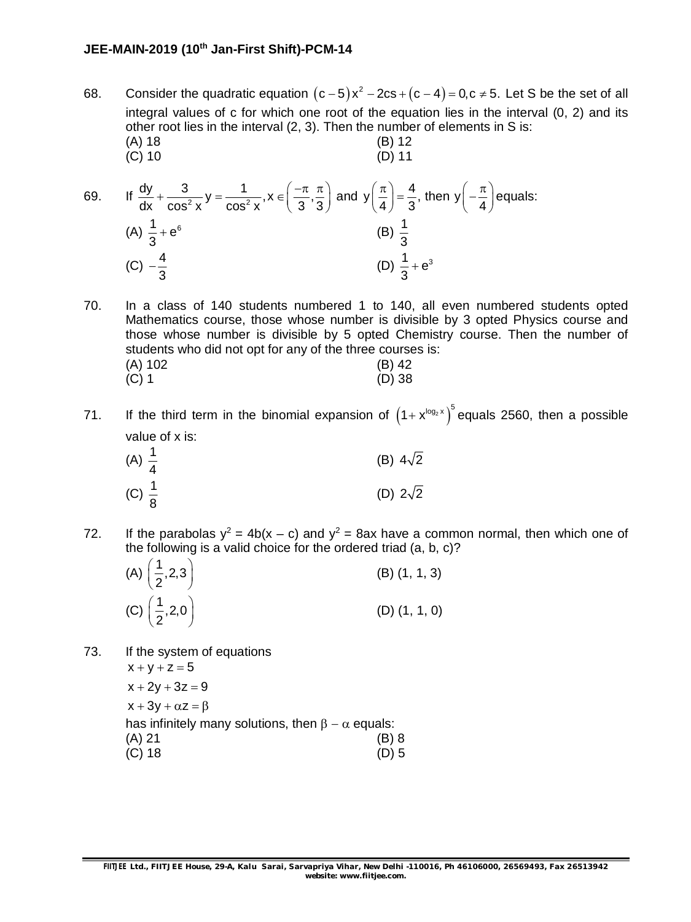- 68. Consider the quadratic equation  $(c-5)x^2 2cs + (c-4) = 0, c \ne 5$ . Let S be the set of all integral values of c for which one root of the equation lies in the interval (0, 2) and its other root lies in the interval (2, 3). Then the number of elements in S is: (A) 18 (B) 12 (C) 10 (D) 11
- 69. If  $\frac{dy}{dx} + \frac{3}{\cos^2 y}y = \frac{1}{\cos^2 y}$ ,  $x \in \left(\frac{-\pi}{3}, \frac{\pi}{3}\right)$ dx  $\cos^2 x$   $\cos^2 x$  (33  $+\frac{3}{\cos^2 x}y = \frac{1}{\cos^2 x}$ ,  $x \in \left(\frac{-\pi}{3}, \frac{\pi}{3}\right)$  and  $y\left(\frac{\pi}{4}\right) = \frac{4}{3}$ , then y  $4^{2}$  3<sup>'</sup>  $(4)$  $\left(\frac{\pi}{4}\right) = \frac{4}{3}$ , then y $\left(-\frac{\pi}{4}\right)$ equals: (A)  $\frac{1}{2} + e^6$ 3  $+e^{6}$  (B)  $\frac{1}{2}$ 3 (C)  $-\frac{4}{6}$ 3  $-\frac{4}{8}$  (D)  $\frac{1}{8} + e^3$ 3  $\ddot{}$
- 70. In a class of 140 students numbered 1 to 140, all even numbered students opted Mathematics course, those whose number is divisible by 3 opted Physics course and those whose number is divisible by 5 opted Chemistry course. Then the number of students who did not opt for any of the three courses is: (A) 102 (B) 42 (C) 1 (D) 38
- 71. If the third term in the binomial expansion of  $(1+x^{\log_2 x})^5$  equals 2560, then a possible value of x is:

| (A) $\frac{1}{4}$ | (B) $4\sqrt{2}$ |
|-------------------|-----------------|
| (C) $\frac{1}{8}$ | (D) $2\sqrt{2}$ |

72. If the parabolas  $y^2 = 4b(x - c)$  and  $y^2 = 8ax$  have a common normal, then which one of the following is a valid choice for the ordered triad (a, b, c)?

| (A) $\left(\frac{1}{2}, 2, 3\right)$ | $(B)$ $(1, 1, 3)$ |
|--------------------------------------|-------------------|
| (C) $\left(\frac{1}{2}, 2, 0\right)$ | $(D)$ $(1, 1, 0)$ |

73. If the system of equations  $x + y + z = 5$ 

> $x + 2y + 3z = 9$  $x + 3y + \alpha z = \beta$ has infinitely many solutions, then  $\beta - \alpha$  equals: (A) 21 (B) 8 (C) 18 (D) 5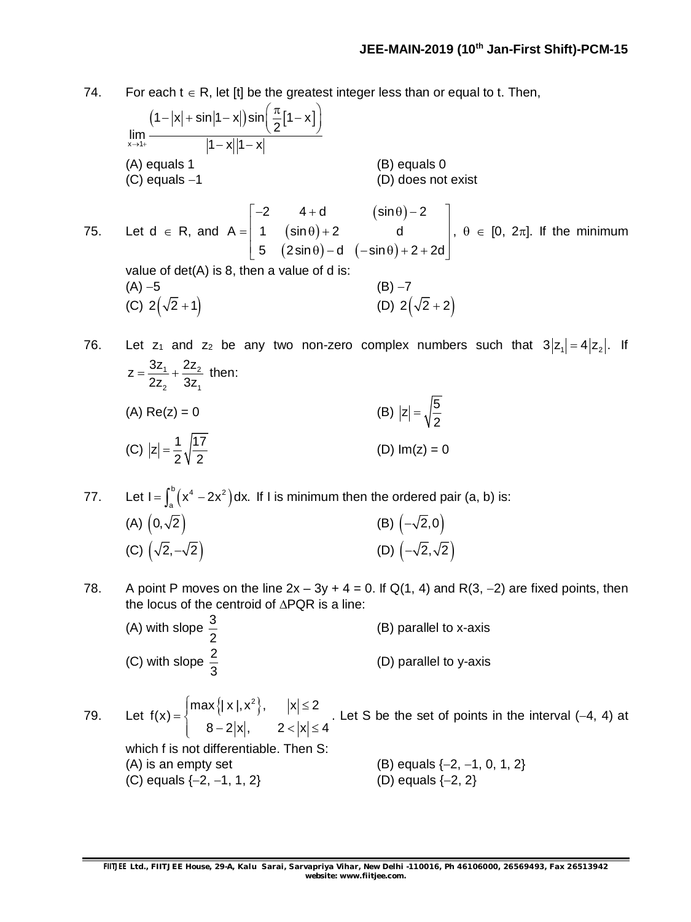74. For each  $t \in R$ , let [t] be the greatest integer less than or equal to t. Then,

$$
\lim_{x \to 1+} \frac{(1-|x| + \sin|1 - x|)\sin(\frac{\pi}{2}[1 - x])}{|1 - x||1 - x|}
$$
\n(A) equals 1\n(B) equals 0\n(D) does not exist\n(D) does not exist\n(D) does not exist\n5 (2 sin θ) – 1\n5. Let d ∈ R, and A = 
$$
\begin{bmatrix} -2 & 4 + d & (\sin θ) - 2 \\ 1 & (\sin θ) + 2 & d \\ 5 & (2 \sin θ) - d & (-\sin θ) + 2 + 2d \end{bmatrix}, θ ∈ [0, 2π]. If the minimum\nvalue of det(A) is 8, then a value of d is:\n(A) – 5\n(B) – 7\n(C) 2( $\sqrt{2}$  + 1)\n(D) 2( $\sqrt{2}$  + 2)\n\n76. Let z<sub>1</sub> and z<sub>2</sub> be any two non-zero complex numbers such that 3|z<sub>1</sub>| = 4|z<sub>2</sub>|. If
$$

 $1 + 2$ 2 UL<sub>1</sub>  $z = \frac{3z_1}{2} + \frac{2z_2}{2}$  $2z<sub>2</sub>$  3z  $=\frac{621}{2}+\frac{222}{2}$  then: (A) Re(z) = 0 (B)  $|z| = \sqrt{\frac{5}{2}}$ 2  $=$ (C)  $|z| = \frac{1}{2} \sqrt{\frac{17}{2}}$ 2 V 2 (D)  $Im(z) = 0$ 

- 77. Let  $I = \int_{0}^{b} (x^4 2x^2) dx$  $I = \int_{a}^{b} (x^4 - 2x^2) dx$ . If I is minimum then the ordered pair (a, b) is: (A)  $(0,\sqrt{2})$  (B)  $(-\sqrt{2},0)$ (C)  $(\sqrt{2}, -\sqrt{2})$  (D)  $(-\sqrt{2}, \sqrt{2})$
- 78. A point P moves on the line  $2x 3y + 4 = 0$ . If Q(1, 4) and R(3, -2) are fixed points, then the locus of the centroid of  $\triangle PQR$  is a line:

| (A) with slope $\frac{3}{2}$ | (B) parallel to x-axis |
|------------------------------|------------------------|
| (C) with slope $\frac{2}{3}$ | (D) parallel to y-axis |

79. Let  $f(x) = \begin{cases} \max\{|x|, x^2\}, & |x| \le 2 \end{cases}$ f(x)  $8 - 2|x|,$   $2 < |x| \le 4$  $\left|\max\left\{ | \mathbf{x} |, \mathbf{x}^2 \right\},\quad \left|\mathbf{x}\right| \leq$  $=\{$  $\begin{vmatrix} 8-2|x|, & 2<|x|\leq 4 \end{vmatrix}$ . Let S be the set of points in the interval  $(-4, 4)$  at

which f is not differentiable. Then S: (A) is an empty set  $(B)$  equals  $\{-2, -1, 0, 1, 2\}$ <br>(C) equals  $\{-2, -1, 1, 2\}$   $(D)$  equals  $\{-2, 2\}$ (C) equals  $\{-2, -1, 1, 2\}$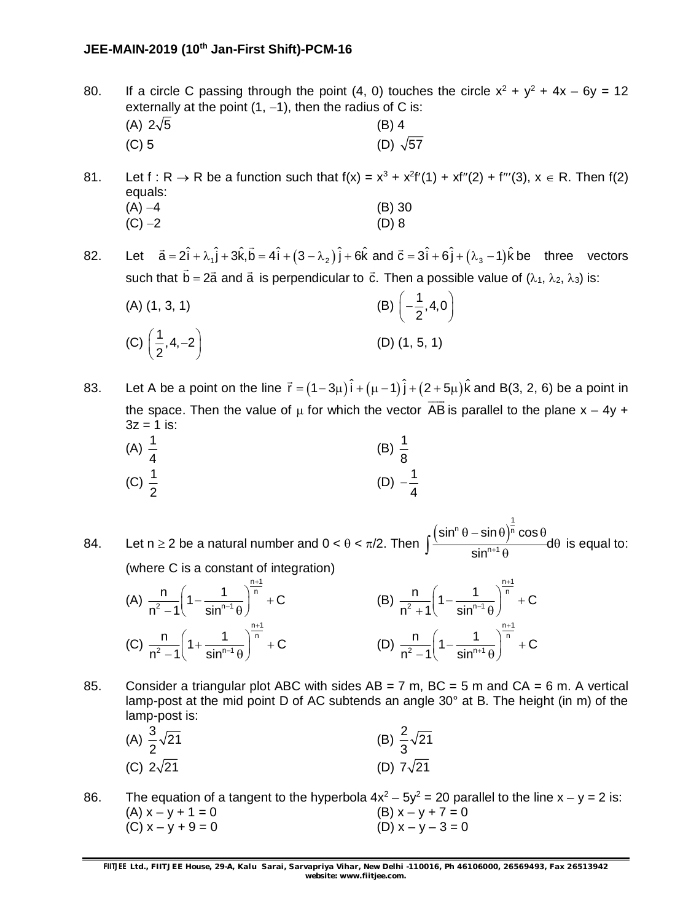80. If a circle C passing through the point (4, 0) touches the circle  $x^2 + y^2 + 4x - 6y = 12$ externally at the point  $(1, -1)$ , then the radius of C is: (A)  $2\sqrt{5}$  (B) 4 (C) 5 (D)  $\sqrt{57}$ 

81. Let  $f : R \to R$  be a function such that  $f(x) = x^3 + x^2f'(1) + xf''(2) + f'''(3)$ ,  $x \in R$ . Then  $f(2)$ equals:  $(A) -4$  (B) 30  $(C) -2$  (D) 8

82. Let  $\vec{a} = 2\hat{i} + \lambda_1 \hat{j} + 3\hat{k}$ , $\vec{b} = 4\hat{i} + (3 - \lambda_2)\hat{j} + 6\hat{k}$  and  $\vec{c} = 3\hat{i} + 6\hat{j} + (\lambda_3 - 1)\hat{k}$ be three vectors such that  $\vec{b} = 2\vec{a}$  and  $\vec{a}$  is perpendicular to  $\vec{c}$ . Then a possible value of  $(\lambda_1, \, \lambda_2, \, \lambda_3)$  is:

(A) (1, 3, 1) (B)  $\left(-\frac{1}{2}, 4, 0\right)$ 2  $\left(-\frac{1}{2},4,0\right)$ (C)  $\left(\frac{1}{2}, 4, -2\right)$ 2  $\left(\frac{1}{2}, 4, -2\right)$  (D) (1, 5, 1)

83. Let A be a point on the line  $\vec{r} = (1 - 3\mu)\hat{i} + (\mu - 1)\hat{j} + (2 + 5\mu)\hat{k}$ and B(3, 2, 6) be a point in the space. Then the value of  $\mu$  for which the vector AB is parallel to the plane  $x - 4y +$  $\overline{\phantom{a}}$  $3z = 1$  is:

(A) 
$$
\frac{1}{4}
$$
 \t\t (B)  $\frac{1}{8}$    
 (C)  $\frac{1}{2}$  \t\t (D)  $-\frac{1}{4}$ 

84. Let n  $\geq$  2 be a natural number and 0 <  $\theta$  <  $\pi/2$ . Then  $\int_0^{\frac{\left(\sin^n \theta - \sin \theta\right)^r}{r}}$  $n \theta - \sin \theta \big)^{\frac{1}{n}}$ n+1  $\sin^n \theta - \sin \theta$ ) $^{\mathsf{n}}$   $\cos$  $\frac{1}{\sin^{n+1}\theta}$ d  $(\theta - \textsf{sin} \, \theta)^n \, \textsf{cos} \, \theta$  $\theta$  $\int \frac{1}{\sin^{n+1} \theta} d\theta$  is equal to: (where C is a constant of integration)

(A) 
$$
\frac{n}{n^2 - 1} \left(1 - \frac{1}{\sin^{n-1}\theta}\right)^{\frac{n+1}{n}} + C
$$
  
\n(B)  $\frac{n}{n^2 + 1} \left(1 - \frac{1}{\sin^{n-1}\theta}\right)^{\frac{n+1}{n}} + C$   
\n(C)  $\frac{n}{n^2 - 1} \left(1 + \frac{1}{\sin^{n-1}\theta}\right)^{\frac{n+1}{n}} + C$   
\n(D)  $\frac{n}{n^2 - 1} \left(1 - \frac{1}{\sin^{n+1}\theta}\right)^{\frac{n+1}{n}} + C$ 

85. Consider a triangular plot ABC with sides  $AB = 7$  m,  $BC = 5$  m and  $CA = 6$  m. A vertical lamp-post at the mid point D of AC subtends an angle 30° at B. The height (in m) of the lamp-post is:

(A) 
$$
\frac{3}{2}\sqrt{21}
$$
 (B)  $\frac{2}{3}\sqrt{21}$   
(C)  $2\sqrt{21}$  (D)  $7\sqrt{21}$ 

86. The equation of a tangent to the hyperbola  $4x^2 - 5y^2 = 20$  parallel to the line  $x - y = 2$  is: (A)  $x - y + 1 = 0$  (B)  $x - y + 7 = 0$ (C)  $x - y + 9 = 0$  (D)  $x - y - 3 = 0$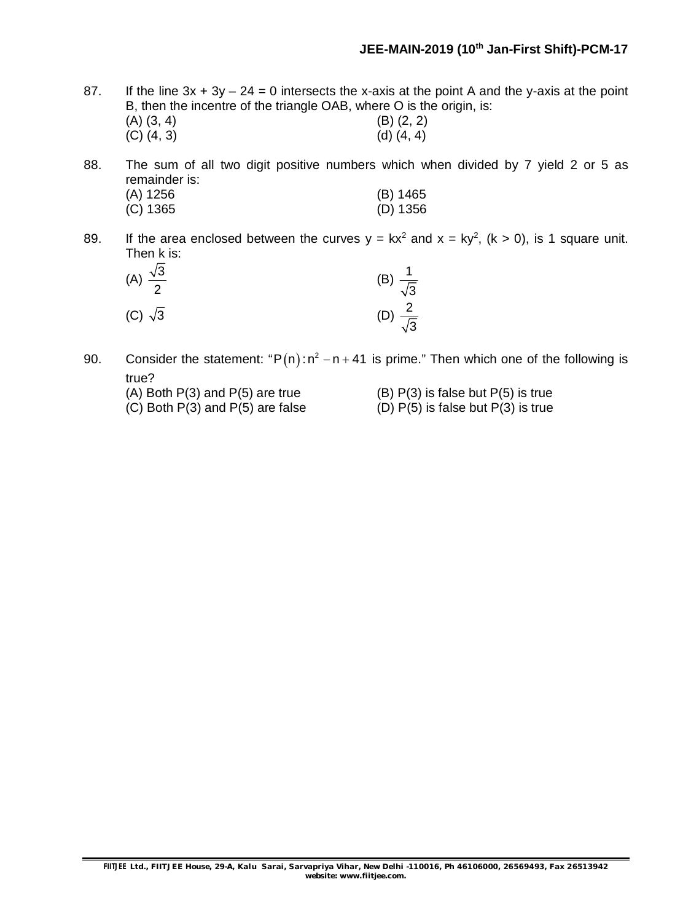- 87. If the line  $3x + 3y 24 = 0$  intersects the x-axis at the point A and the y-axis at the point B, then the incentre of the triangle OAB, where O is the origin, is: (A)  $(3, 4)$  (B)  $(2, 2)$ <br>
(C)  $(4, 3)$  (d)  $(4, 4)$ 
	- $(C) (4, 3)$
- 88. The sum of all two digit positive numbers which when divided by 7 yield 2 or 5 as remainder is:

| $(A)$ 1256 | (B) 1465   |
|------------|------------|
| $(C)$ 1365 | $(D)$ 1356 |

89. If the area enclosed between the curves  $y = kx^2$  and  $x = ky^2$ ,  $(k > 0)$ , is 1 square unit. Then k is:

| (A) $\frac{\sqrt{3}}{2}$ | (B) $\frac{1}{\sqrt{3}}$ |  |
|--------------------------|--------------------------|--|
| (C) $\sqrt{3}$           | (D) $\frac{2}{\sqrt{3}}$ |  |

- 90. Consider the statement: " $P(n)$ :  $n^2 n + 41$  is prime." Then which one of the following is true?
	-
	- (A) Both  $P(3)$  and  $P(5)$  are true (B)  $P(3)$  is false but  $P(5)$  is true
	- (C) Both  $P(3)$  and  $P(5)$  are false (D)  $P(5)$  is false but  $P(3)$  is true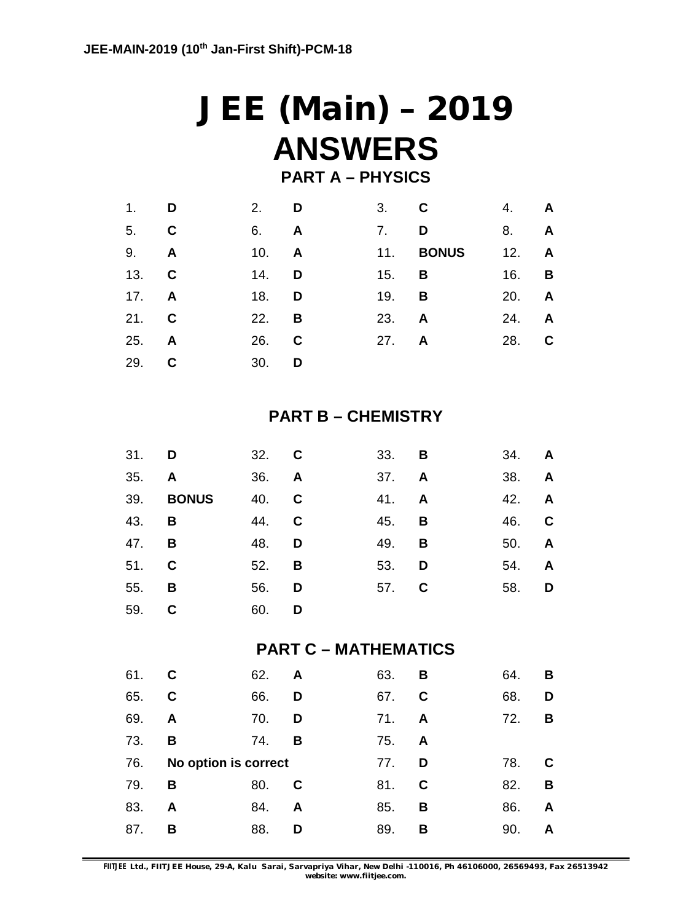# **JEE (Main) – 2019 ANSWERS**

# **PART A – PHYSICS**

| 1.           | D | 2. $\Box$    |              | $3.$ C |              | 4. <b>A</b>  |  |
|--------------|---|--------------|--------------|--------|--------------|--------------|--|
| 5. C         |   | 6.           | $\mathbf{A}$ | 7.     | D            | 8. <b>A</b>  |  |
| 9. <b>A</b>  |   | 10. $\bm{A}$ |              | 11.    | <b>BONUS</b> | $12.$ A      |  |
| 13. C        |   | 14.          | D            | 15.    | B            | 16. <b>B</b> |  |
| 17. $\bm{A}$ |   | 18.          | D            | 19.    | B            | 20. A        |  |
| 21. C        |   | 22.          | B            | 23. A  |              | 24. A        |  |
| 25. <b>A</b> |   | 26.          | $\mathbf c$  | 27. A  |              | 28. C        |  |
| 29.          | C | 30.          | D            |        |              |              |  |

## **PART B – CHEMISTRY**

| 31. <b>D</b> |              | 32. C        |   | 33. <b>B</b> |   | 34. <b>A</b> |              |
|--------------|--------------|--------------|---|--------------|---|--------------|--------------|
| 35.          | $\mathsf{A}$ | 36. <b>A</b> |   | 37. <b>A</b> |   | 38.          | $\mathsf{A}$ |
| 39.          | <b>BONUS</b> | 40. C        |   | 41. A        |   | 42. A        |              |
| 43. <b>B</b> |              | 44. C        |   | 45. <b>B</b> |   | 46. C        |              |
| 47.          | B            | 48.          | D | 49.          | B | 50. <b>A</b> |              |
| 51. C        |              | 52.          | B | 53.          | D | 54.          | <b>A</b>     |
| 55.          | B            | 56.          | D | 57. C        |   | 58. <b>D</b> |              |
| 59. C        |              | 60.          | D |              |   |              |              |

## **PART C – MATHEMATICS**

| 61. | C                    | 62. | A | 63. | B | 64. | в |
|-----|----------------------|-----|---|-----|---|-----|---|
| 65. | C                    | 66. | D | 67. | C | 68. | D |
| 69. | A                    | 70. | D | 71. | A | 72. | В |
| 73. | B                    | 74. | в | 75. | A |     |   |
| 76. | No option is correct |     |   | 77. | D | 78. | C |
|     |                      |     |   |     |   |     |   |
| 79. | B                    | 80. | C | 81. | C | 82. | B |
| 83. | A                    | 84. | A | 85. | В | 86. | A |

**FIITJEE** *Ltd., FIITJEE House, 29-A, Kalu Sarai, Sarvapriya Vihar, New Delhi -110016, Ph 46106000, 26569493, Fax 26513942 website: [www.fiitjee.com.](http://www.fiitjee.com.)*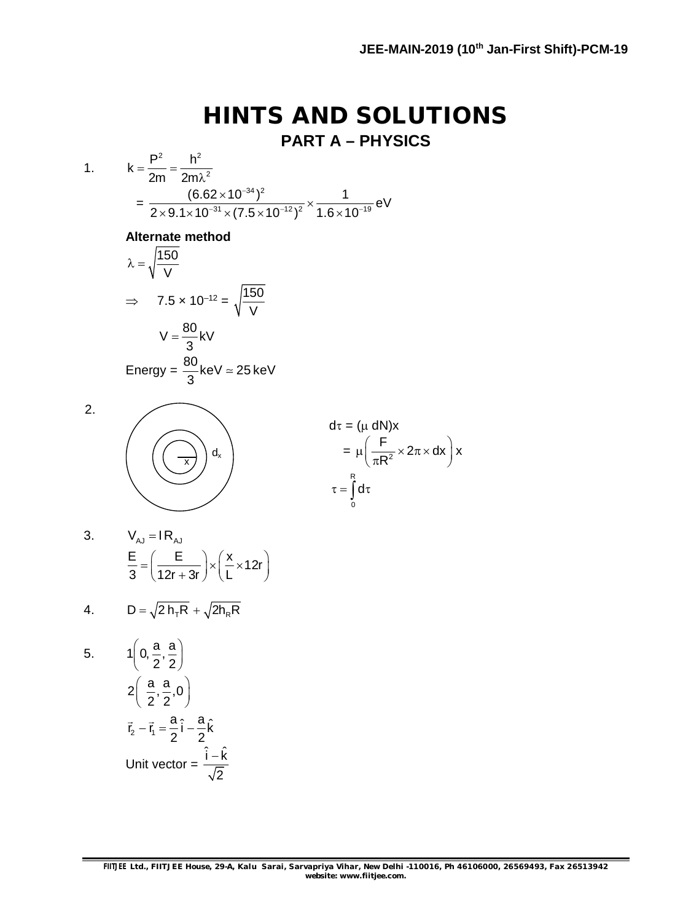# **HINTS AND SOLUTIONS PART A – PHYSICS**

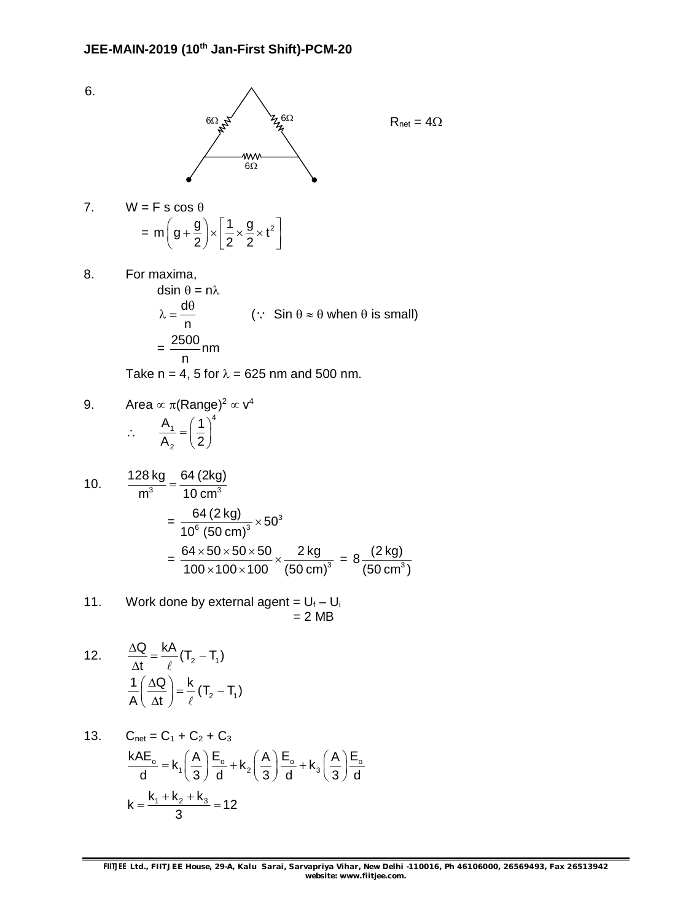

 $R_{\text{net}} = 4\Omega$ 

7. 
$$
W = F s \cos \theta
$$

$$
= m \left( g + \frac{g}{2} \right) \times \left[ \frac{1}{2} \times \frac{g}{2} \times t^2 \right]
$$

6.

8. For maxima, dsin  $\theta = n\lambda$ d n  $\theta$ (:  $\sin \theta \approx \theta$  when  $\theta$  is small)  $= \frac{2500}{2}$ nm

Take n = 4, 5 for  $\lambda$  = 625 nm and 500 nm.

9. Area 
$$
\propto \pi(\text{Range})^2 \propto v^4
$$
  
\n $\therefore \quad \frac{A_1}{A_2} = \left(\frac{1}{2}\right)^4$ 

n

10. 
$$
\frac{128 \text{ kg}}{\text{m}^3} = \frac{64 \text{ (2kg)}}{10 \text{ cm}^3}
$$

$$
= \frac{64 \text{ (2 kg)}}{10^6 \text{ (50 cm)}^3} \times 50^3
$$

$$
= \frac{64 \times 50 \times 50 \times 50}{100 \times 100 \times 100} \times \frac{2 \text{ kg}}{(50 \text{ cm})^3} = 8 \frac{(2 \text{ kg})}{(50 \text{ cm}^3)}
$$

11. Work done by external agent = 
$$
U_f - U_i
$$
  
= 2 MB

12. 
$$
\frac{\Delta Q}{\Delta t} = \frac{kA}{\ell} (T_2 - T_1)
$$

$$
\frac{1}{A} \left(\frac{\Delta Q}{\Delta t}\right) = \frac{k}{\ell} (T_2 - T_1)
$$

13. 
$$
C_{\text{net}} = C_1 + C_2 + C_3
$$

$$
\frac{kAE_o}{d} = k_1 \left(\frac{A}{3}\right) \frac{E_o}{d} + k_2 \left(\frac{A}{3}\right) \frac{E_o}{d} + k_3 \left(\frac{A}{3}\right) \frac{E_o}{d}
$$

$$
k = \frac{k_1 + k_2 + k_3}{3} = 12
$$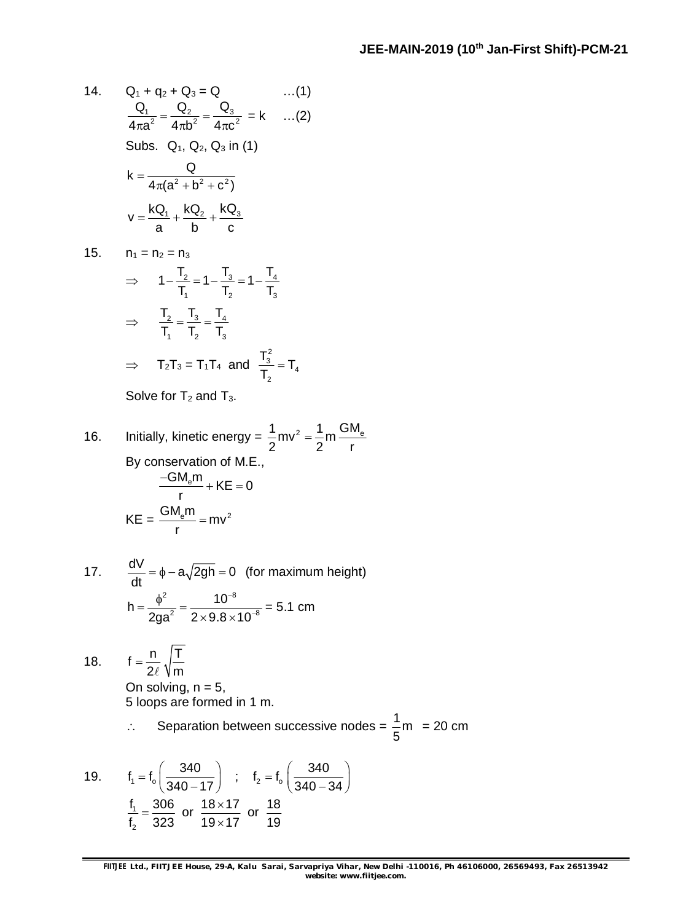14. 
$$
Q_1 + q_2 + Q_3 = Q
$$
 ...(1)  
\n
$$
\frac{Q_1}{4\pi a^2} = \frac{Q_2}{4\pi b^2} = \frac{Q_3}{4\pi c^2} = k
$$
 ...(2)  
\nSubs.  $Q_1, Q_2, Q_3$  in (1)  
\n
$$
k = \frac{Q}{4\pi (a^2 + b^2 + c^2)}
$$
\n
$$
v = \frac{kQ_1}{a} + \frac{kQ_2}{b} + \frac{kQ_3}{c}
$$

15.  $n_1 = n_2 = n_3$ 

$$
\Rightarrow \quad 1 - \frac{T_2}{T_1} = 1 - \frac{T_3}{T_2} = 1 - \frac{T_4}{T_3}
$$
\n
$$
\Rightarrow \quad \frac{T_2}{T_1} = \frac{T_3}{T_2} = \frac{T_4}{T_3}
$$
\n
$$
\Rightarrow \quad T_2T_3 = T_1T_4 \text{ and } \frac{T_3^2}{T_2} = T_4
$$

Solve for  $T_2$  and  $T_3$ .

16. Initially, kinetic energy = 
$$
\frac{1}{2}mv^2 = \frac{1}{2}m\frac{GM_e}{r}
$$
  
By conservation of M.E.,  

$$
\frac{-GM_em}{r} + KE = 0
$$

$$
KE = \frac{GM_em}{r} = mv^2
$$

17. 
$$
\frac{dV}{dt} = \phi - a\sqrt{2gh} = 0
$$
 (for maximum height)  

$$
h = \frac{\phi^2}{2ga^2} = \frac{10^{-8}}{2 \times 9.8 \times 10^{-8}} = 5.1
$$
 cm

18. 
$$
f = \frac{n}{2\ell} \sqrt{\frac{T}{m}}
$$

On solving,  $n = 5$ , 5 loops are formed in 1 m.

∴ Separation between successive nodes = 
$$
\frac{1}{5}
$$
m = 20 cm

19. 
$$
f_1 = f_0 \left( \frac{340}{340 - 17} \right)
$$
;  $f_2 = f_0 \left( \frac{340}{340 - 34} \right)$   
 $\frac{f_1}{f_2} = \frac{306}{323}$  or  $\frac{18 \times 17}{19 \times 17}$  or  $\frac{18}{19}$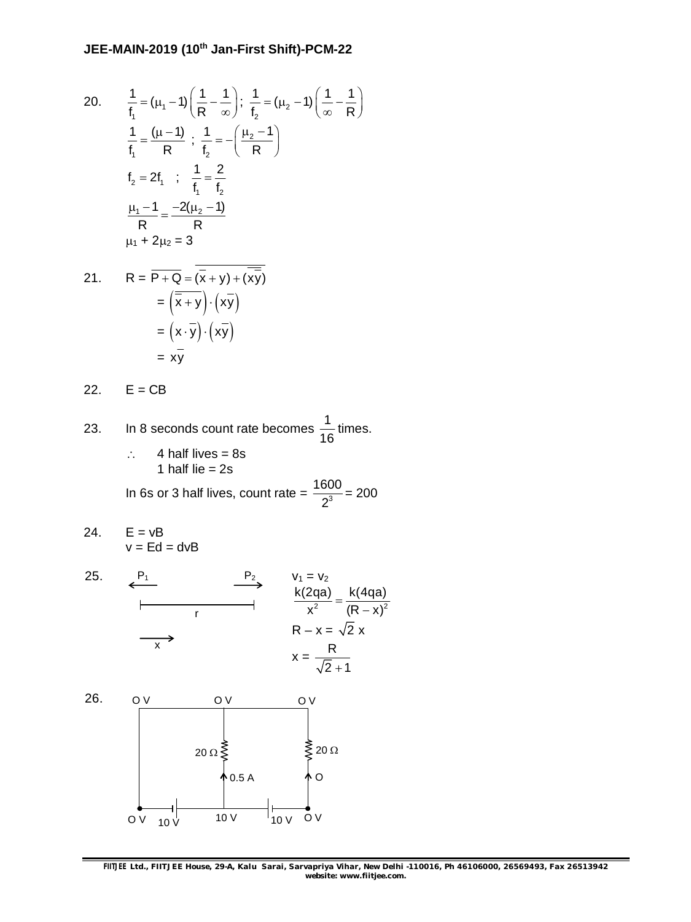20. 
$$
\frac{1}{f_1} = (\mu_1 - 1) \left( \frac{1}{R} - \frac{1}{\infty} \right); \frac{1}{f_2} = (\mu_2 - 1) \left( \frac{1}{\infty} - \frac{1}{R} \right)
$$

$$
\frac{1}{f_1} = \frac{(\mu - 1)}{R} ; \frac{1}{f_2} = - \left( \frac{\mu_2 - 1}{R} \right)
$$

$$
f_2 = 2f_1 ; \frac{1}{f_1} = \frac{2}{f_2}
$$

$$
\frac{\mu_1 - 1}{R} = \frac{-2(\mu_2 - 1)}{R}
$$

$$
\mu_1 + 2\mu_2 = 3
$$

21. 
$$
R = \overline{P + Q} = (\overline{x} + y) + (\overline{x}\overline{y})
$$

$$
= (\overline{\overline{x} + y}) \cdot (x\overline{y})
$$

$$
= (x \cdot \overline{y}) \cdot (x\overline{y})
$$

$$
= x\overline{y}
$$

22.  $E = CB$ 

- 23. In 8 seconds count rate becomes  $\frac{1}{16}$ 16 times.  $\therefore$  4 half lives = 8s 1 half lie  $= 2s$ In 6s or 3 half lives, count rate =  $\frac{1600}{2^3}$ 2 = 200
- 24.  $E = vB$  $v = Ed = dvB$



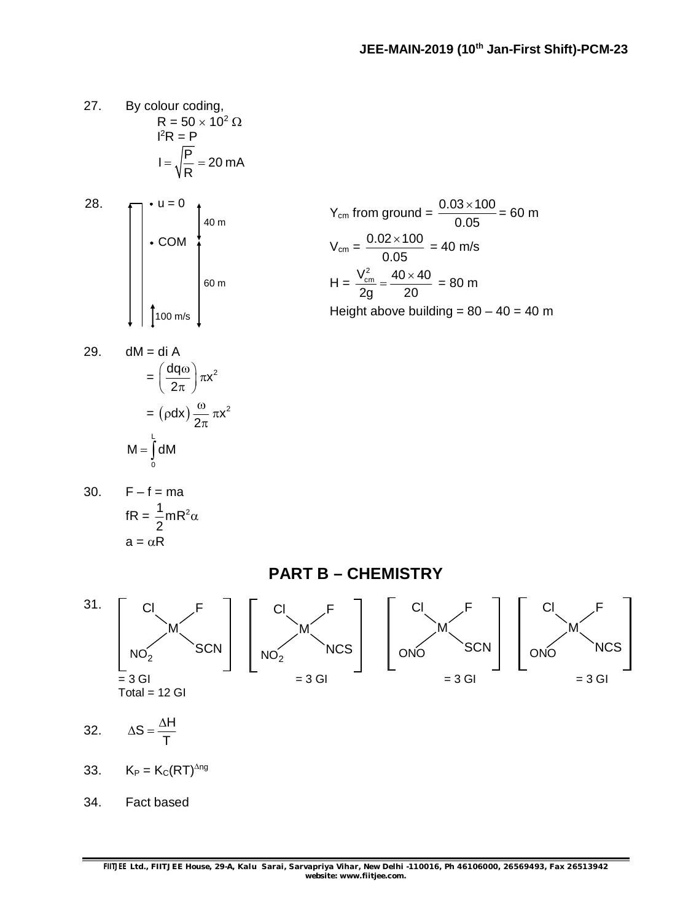- 27. By colour coding,  $R = 50 \times 10^2 \Omega$  $l^2R = P$  $I = \sqrt{\frac{P}{P}} = 20 \text{ mA}$ R  $=\sqrt{\frac{1}{2}}$  = 2
- 28.  $\Box$   $\bullet$  u = 0  $\cdot$  COM 100 m/s 40 m  $\left.\begin{array}{c} \circ \\ \circ \\ \circ \\ \circ \end{array}\right|$

$$
Y_{cm} \text{ from ground} = \frac{0.03 \times 100}{0.05} = 60 \text{ m}
$$
\n
$$
V_{cm} = \frac{0.02 \times 100}{0.05} = 40 \text{ m/s}
$$
\n
$$
H = \frac{V_{cm}^2}{2g} = \frac{40 \times 40}{20} = 80 \text{ m}
$$
\n
$$
\text{Height above building} = 80 - 40 = 40 \text{ m}
$$

29. 
$$
dM = di A
$$

$$
= \left(\frac{dq\omega}{2\pi}\right)\pi x^2
$$

$$
= (\rho dx)\frac{\omega}{2\pi} \pi x^2
$$

$$
M = \int_0^L dM
$$

30. 
$$
F - f = ma
$$
  
\n
$$
fR = \frac{1}{2} mR^2 \alpha
$$
\n
$$
a = \alpha R
$$

**PART B – CHEMISTRY**

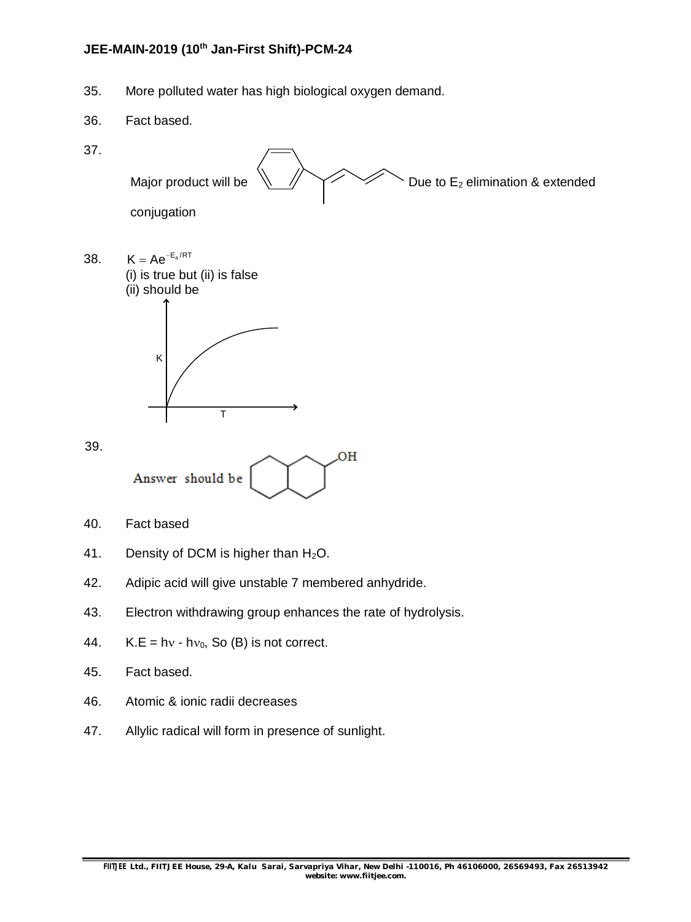35. More polluted water has high biological oxygen demand.



37.



- 46. Atomic & ionic radii decreases
- 47. Allylic radical will form in presence of sunlight.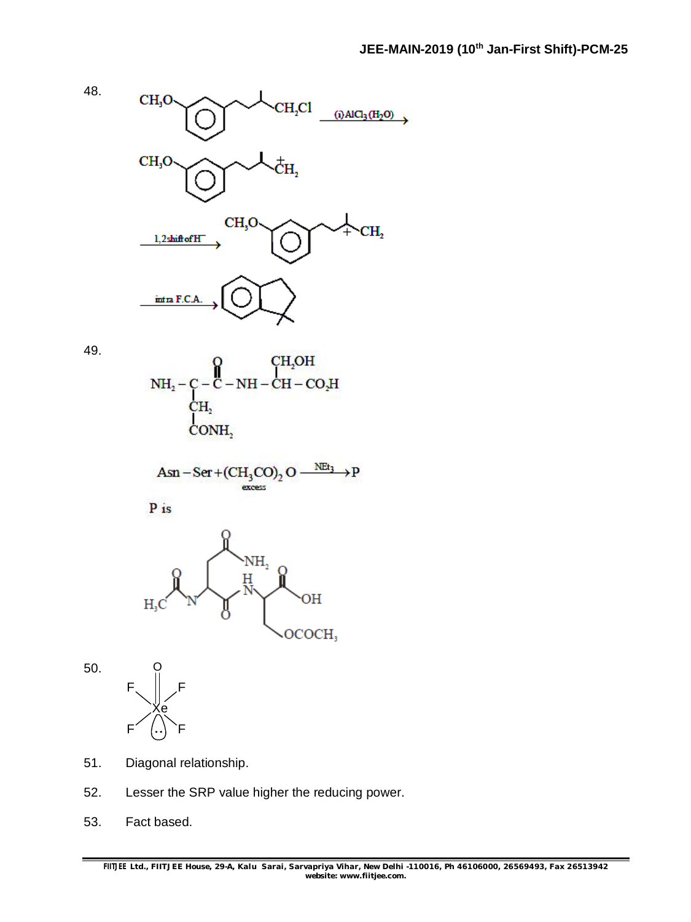

$$
\setminus_{\text{OCOCH}_3}
$$

50.



- 51. Diagonal relationship.
- 52. Lesser the SRP value higher the reducing power.
- 53. Fact based.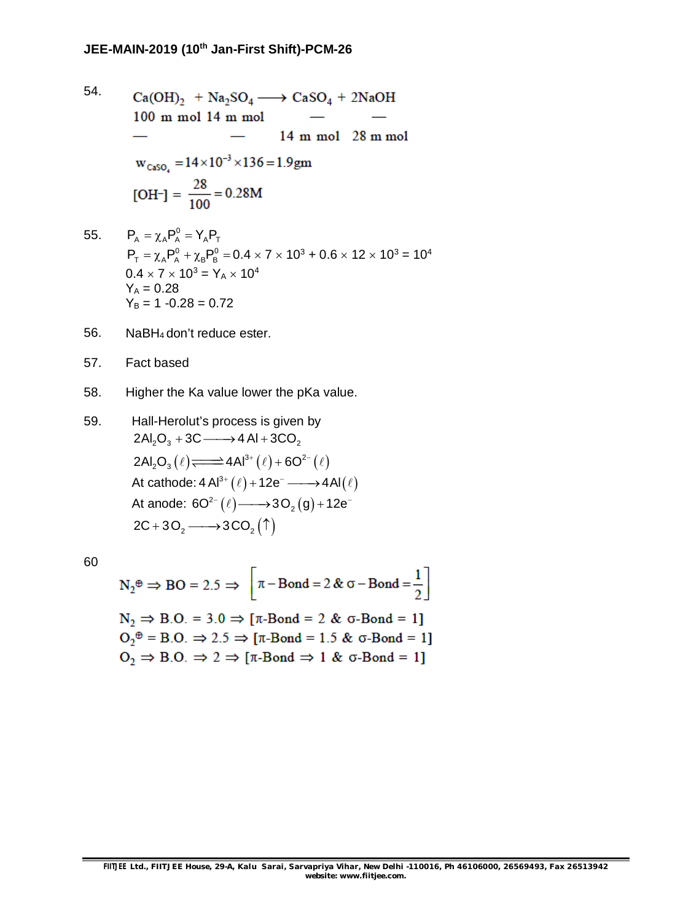- 54.  $Ca(OH)$ <sub>2</sub> + Na<sub>2</sub>SO<sub>4</sub>  $\longrightarrow$  CaSO<sub>4</sub> + 2NaOH  $100$  m mol  $14$  m mol 14 m mol 28 m mol  $\overline{\phantom{a}}$  $w_{CasO_4} = 14 \times 10^{-3} \times 136 = 1.9$ gm [OH-] =  $\frac{28}{100}$  = 0.28M 55.  $P_A = \chi_A P_A^0 = Y_A P_T$
- $P_T = \chi_A P_A^0 + \chi_B P_B^0 = 0.4 \times 7 \times 10^3 + 0.6 \times 12 \times 10^3 = 10^4$  $0.4 \times 7 \times 10^3 = Y_A \times 10^4$  $Y_A = 0.28$  $Y_B = 1 - 0.28 = 0.72$
- 56. NaBH4 don't reduce ester.
- 57. Fact based
- 58. Higher the Ka value lower the pKa value.
- 59. Hall-Herolut's process is given by  $2Al_2O_3 + 3C \longrightarrow 4 Al + 3CO_2$  $2Al_2O_3(\ell) \longrightarrow 4Al^{3+}(\ell) + 6O^{2-}(\ell)$ At cathode:  $4 \text{ Al}^{3+}(\ell) + 12e^- \longrightarrow 4 \text{ Al}(\ell)$ At anode:  $6O^{2-}(\ell)$  —  $3O_{2}(g)$  + 12e<sup>-</sup>  $2C + 3O_2 \longrightarrow 3CO_2(\uparrow)$

60

$$
N_2^{\oplus} \Rightarrow BO = 2.5 \Rightarrow \left[ \pi - Bond = 2 & \sigma - Bond = \frac{1}{2} \right]
$$
  
\n
$$
N_2 \Rightarrow B.O. = 3.0 \Rightarrow [\pi - Bond = 2 & \sigma - Bond = 1]
$$
  
\n
$$
O_2^{\oplus} = B.O. \Rightarrow 2.5 \Rightarrow [\pi - Bond = 1.5 & \sigma - Bond = 1]
$$
  
\n
$$
O_2 \Rightarrow B.O. \Rightarrow 2 \Rightarrow [\pi - Bond \Rightarrow 1 & \sigma - Bond = 1]
$$

÷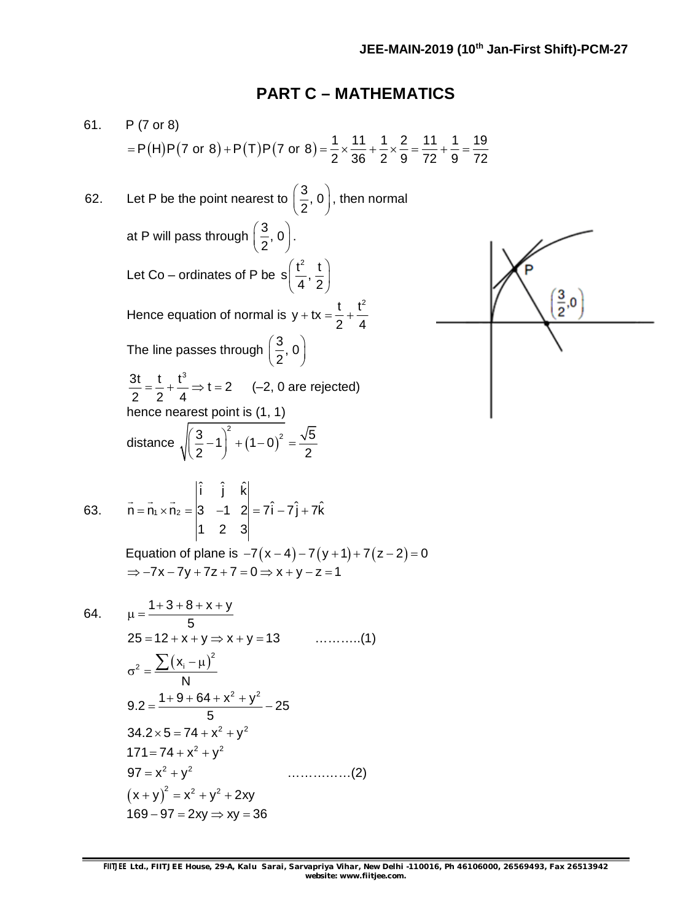# **PART C – MATHEMATICS**

61. P (7 or 8)  
\n= P(H)P(7 or 8)+P(T)P(7 or 8) = 
$$
\frac{1}{2} \times \frac{11}{36} + \frac{1}{2} \times \frac{2}{9} = \frac{11}{72} + \frac{1}{9} = \frac{19}{72}
$$
  
\n62. Let P be the point nearest to  $(\frac{3}{2}, 0)$ , then normal  
\nat P will pass through  $(\frac{3}{2}, 0)$ .  
\nLet Co – ordinates of P be s  $(\frac{t^2}{4}, \frac{t}{2})$   
\nHence equation of normal is y + tx =  $\frac{t}{2} + \frac{t^2}{4}$   
\nThe line passes through  $(\frac{3}{2}, 0)$   
\n $\frac{3t}{2} = \frac{t}{2} + \frac{t^3}{4} \Rightarrow t = 2$  (-2, 0 are rejected)  
\nhence nearest point is (1, 1)  
\ndistance  $\sqrt{(\frac{3}{2} - 1)^2 + (1 - 0)^2} = \frac{\sqrt{5}}{2}$   
\n63.  $\vec{n} = \vec{n} \cdot \vec{x} \cdot \vec{n} = |\vec{s} - 1 \cdot 2| = 7\hat{i} - 7\hat{j} + 7\hat{k}$   
\n $|1 \cdot 2 \cdot 3|$   
\nEquation of plane is  $y + \vec{x} = \frac{1}{2}$   
\nEquation of plane is  $y = -(\vec{x} - 4) - 7(y + 1) + 7(z - 2) = 0$   
\n $\Rightarrow -7x - 7y + 7z + 7 = 0 \Rightarrow x + y - z = 1$   
\n64.  $\mu = \frac{1+3+8+x+y}{5}$   
\n $25 = 12 + x + y \Rightarrow x + y = 13$  .........(1)  
\n $\sigma^2 = \frac{\sum (x_i - \mu)^2}{N}$   
\n $9.2 = \frac{1+9+64+x^2+y^2}{5}$   
\n $34.2 \times 5 = 74 + x^2 + y^2$   
\n $171 = 74 + x^2 + y^2$   
\n $97 = x^2 + y^2$   
\n $179 = x^2 + y^2 + 2xy$   
\n $169 - 97 =$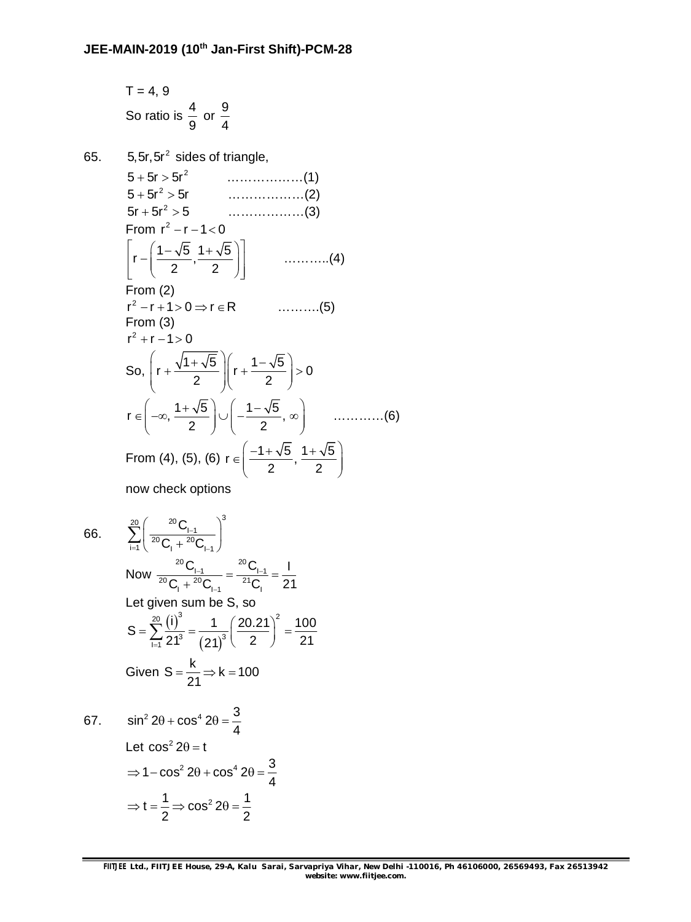$$
T = 4, 9
$$
  
So ratio is  $\frac{4}{9}$  or  $\frac{9}{4}$ 

5,5r,5r sides of triangle, 2 5 5r 5r ………………(1) 2 5 5r 5r ………………(2) 2 5r 5r 5 ………………(3) From <sup>2</sup> r r 1 0 1 5 1 5 r , 2 2 ………..(4) From (2) 2 r r 1 0 r R ……….(5) From (3) 2 r r 1 0 So, 1 5 1 5 r r 0 2 2 1 5 1 5 r , , 2 2 …………(6) From (4), (5), (6) 1 5 1 5 r , 2 2 

now check options

66.

65.

66. 
$$
\sum_{i=1}^{20} \left( \frac{{}^{20}C_{1-1}}{{}^{20}C_{1} + {}^{20}C_{1-1}} \right)^3
$$
  
\nNow  $\frac{{}^{20}C_{1-1}}{{}^{20}C_{1} + {}^{20}C_{1-1}} = \frac{{}^{20}C_{1-1}}{{}^{21}C_{1}} = \frac{1}{21}$   
\nLet given sum be S, so  
\n
$$
S = \sum_{i=1}^{20} \frac{(i)^3}{21^3} = \frac{1}{(21)^3} \left( \frac{20.21}{2} \right)^2 = \frac{100}{21}
$$
  
\nGiven  $S = \frac{k}{21} \Rightarrow k = 100$   
\n67.  $\sin^2 2\theta + \cos^4 2\theta = \frac{3}{4}$   
\nLet  $\cos^2 2\theta = t$   
\n $\Rightarrow 1 - \cos^2 2\theta + \cos^4 2\theta = \frac{3}{4}$   
\n $\Rightarrow t = \frac{1}{2} \Rightarrow \cos^2 2\theta = \frac{1}{2}$ 

2  $2$ 

 $\gamma^3$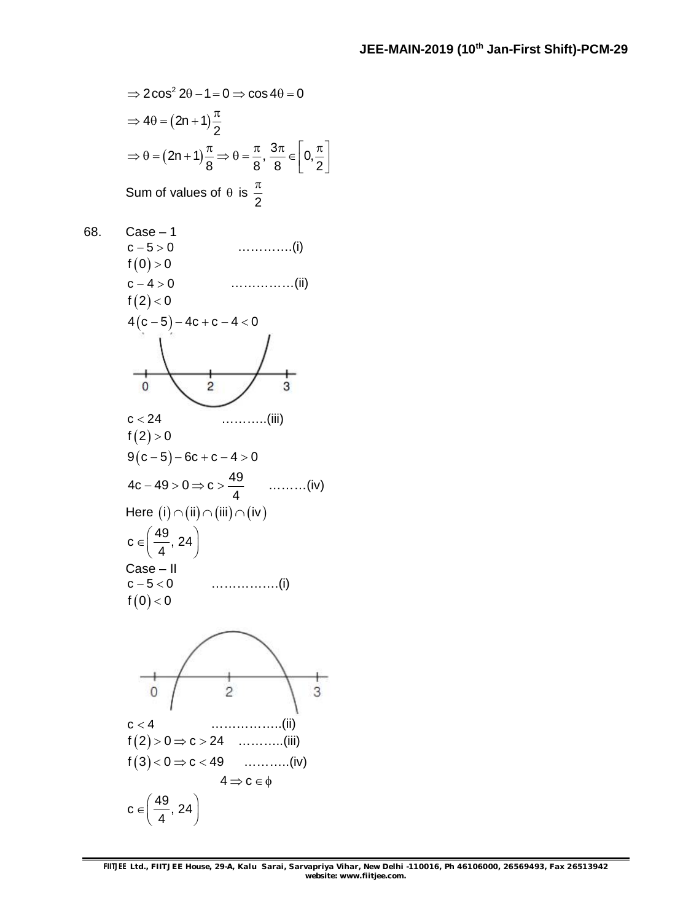$$
\Rightarrow 2\cos^2 2\theta - 1 = 0 \Rightarrow \cos 4\theta = 0
$$

$$
\Rightarrow 4\theta = (2n + 1)\frac{\pi}{2}
$$

$$
\Rightarrow \theta = (2n + 1)\frac{\pi}{8} \Rightarrow \theta = \frac{\pi}{8}, \frac{3\pi}{8} \in \left[0, \frac{\pi}{2}\right]
$$
  
Sum of values of  $\theta$  is  $\frac{\pi}{2}$ 

68. Case – 1 c 5 0 ………….(i)  $f(0) > 0$ c 4 0 ……………(ii)  $f(2) < 0$  $4(c-5) - 4c + c - 4 < 0$  $\mathbf{0}$  $\overline{2}$ 3 c 24 ………..(iii)  $f(2) > 0$  $9(c-5)-6c+c-4>0$  $4c - 49 > 0 \Rightarrow c > \frac{49}{4}$  $-49 > 0 \Rightarrow c > \frac{16}{1}$  .........(iv) 4 Here  $(i) \cap (ii) \cap (iii) \cap (iv)$  $c \in \left(\frac{49}{4}, 24\right)$  $\in \left(\frac{49}{4}, 24\right)$ 4 Case – II c 5 0 …………….(i)  $f(0) < 0$  $\overline{0}$  $\overline{c}$ 3 c 4 ……………..(ii)  $f(2) > 0 \Rightarrow c > 24$  ............(iii)  $f(3) < 0 \Rightarrow c < 49$  ............(iv)  $4 \Rightarrow c \in \phi$  $c \in \left(\frac{49}{4}, 24\right)$  $\in \left(\frac{49}{4}, 24\right)$ 4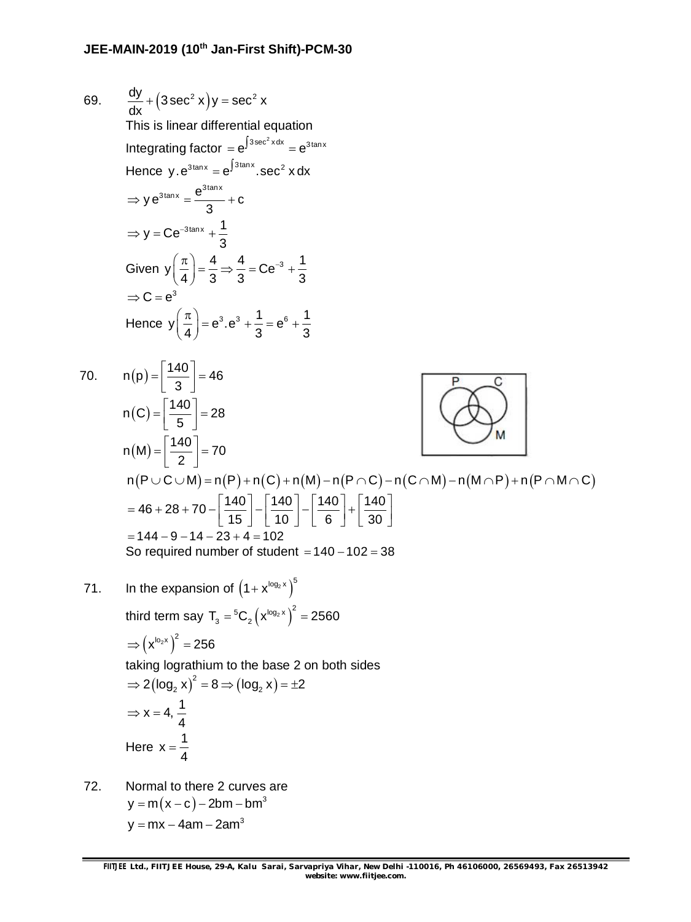69. 
$$
\frac{dy}{dx} + (3 \sec^2 x)y = \sec^2 x
$$
  
\nThis is linear differential equation  
\nIntegrating factor =  $e^{\int 3 \sec^2 x dx} = e^{3 \tan x}$   
\nHence y.  $e^{3 \tan x} = e^{\int 3 \tan x} \sec^2 x dx$   
\n $\Rightarrow y e^{3 \tan x} = \frac{e^{3 \tan x}}{3} + c$   
\n $\Rightarrow y = Ce^{-3 \tan x} + \frac{1}{3}$   
\nGiven  $y\left(\frac{\pi}{4}\right) = \frac{4}{3} \Rightarrow \frac{4}{3} = Ce^{-3} + \frac{1}{3}$   
\n $\Rightarrow C = e^{3}$   
\nHence  $y\left(\frac{\pi}{4}\right) = e^{3} \cdot e^{3} + \frac{1}{3} = e^{6} + \frac{1}{3}$   
\n70.  $n(p) = \left[\frac{140}{3}\right] = 46$   
\n $n(C) = \left[\frac{140}{5}\right] = 28$   
\n $n(M) = \left[\frac{140}{2}\right] = 70$   
\n $n(P \cup C \cup M) = n(P) + n(C) + n(M) - n(P \cap C) - n(C \cap M) - n(M \cap P) + n(P \cap M \cap C)$   
\n $= 46 + 28 + 70 - \left[\frac{140}{15}\right] - \left[\frac{140}{10}\right] - \left[\frac{140}{6}\right] + \left[\frac{140}{30}\right]$   
\n $= 144 - 9 - 14 - 23 + 4 = 102$   
\nSo required number of student = 140 - 102 = 38  
\n71. In the expansion of  $(1 + x^{\log_2 x})^5$   
\nthird term say  $T_3 = {}^6C_2 (x^{\log_2 x})^2 = 2560$ 

 $\Rightarrow (x^{lo_2x})^2 = 256$ taking lograthium to the base 2 on both sides  $\Rightarrow$  2(log<sub>2</sub> x)<sup>2</sup> = 8  $\Rightarrow$  (log<sub>2</sub> x) =  $\pm$ 2  $x = 4, \frac{1}{4}$ 4  $\Rightarrow$  X = 4 Here  $x = \frac{1}{4}$ 

72. Normal to there 2 curves are  $y = m(x - c) - 2bm - bm^3$ y = mx  $-$  4am  $-$  2am $^{\rm 3}$ 

4  $=$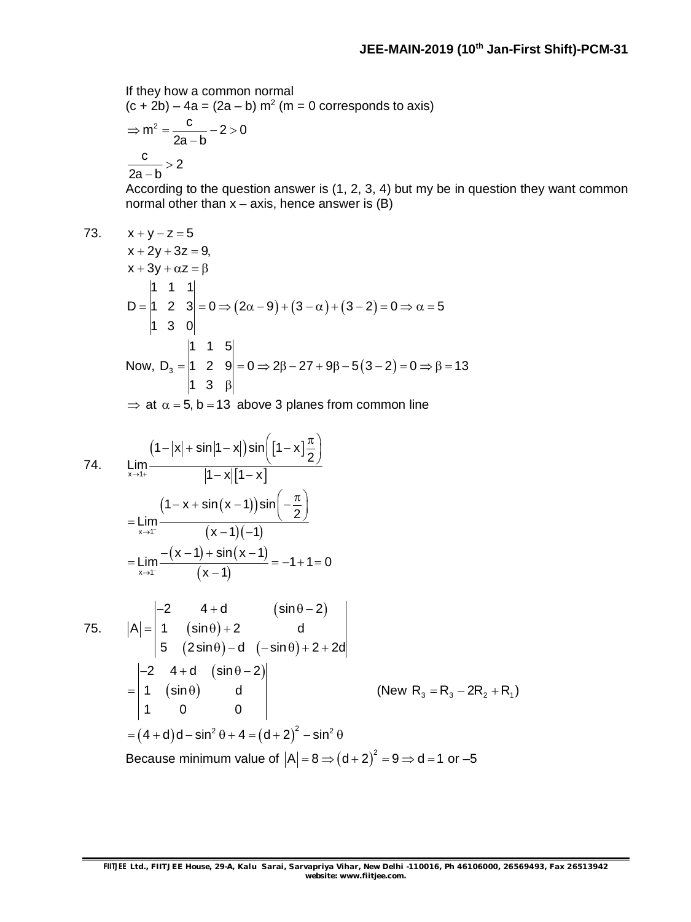If they how a common normal  $(c + 2b) - 4a = (2a - b) m<sup>2</sup>$  (m = 0 corresponds to axis)

$$
\Rightarrow m^2 = \frac{c}{2a - b} - 2 > 0
$$

$$
\frac{c}{2a - b} > 2
$$

According to the question answer is (1, 2, 3, 4) but my be in question they want common normal other than  $x - axis$ , hence answer is  $(B)$ 

$$
73. \qquad x + y - z = 5
$$

$$
x + 2y + 3z = 9,
$$
  
\n
$$
x + 3y + \alpha z = \beta
$$
  
\n
$$
D = \begin{vmatrix} 1 & 1 & 1 \\ 1 & 2 & 3 \\ 1 & 3 & 0 \end{vmatrix} = 0 \Rightarrow (2\alpha - 9) + (3 - \alpha) + (3 - 2) = 0 \Rightarrow \alpha = 5
$$
  
\nNow,  $D_3 = \begin{vmatrix} 1 & 1 & 5 \\ 1 & 2 & 9 \\ 1 & 3 & \beta \end{vmatrix} = 0 \Rightarrow 2\beta - 27 + 9\beta - 5(3 - 2) = 0 \Rightarrow \beta = 13$ 

 $\Rightarrow$  at  $\alpha = 5$ , b = 13 above 3 planes from common line

74. 
$$
\lim_{x \to 1^{+}} \frac{(1-|x|+ \sin|1-x|) \sin[(1-x]\frac{\pi}{2})}{|1-x|[1-x]}
$$
  
\n
$$
= \lim_{x \to 1^{-}} \frac{(1-x + \sin(x-1)) \sin(-\frac{\pi}{2})}{(x-1)(-1)}
$$
  
\n
$$
= \lim_{x \to 1^{-}} \frac{-(x-1) + \sin(x-1)}{(x-1)} = -1 + 1 = 0
$$
  
\n75.  $|A| = \begin{vmatrix} -2 & 4 + d & (\sin \theta - 2) \\ 1 & (\sin \theta) + 2 & d \\ 5 & (2 \sin \theta) - d & (-\sin \theta) + 2 + 2d \end{vmatrix}$   
\n
$$
= \begin{vmatrix} -2 & 4 + d & (\sin \theta - 2) \\ 1 & (\sin \theta) & d \\ 1 & 0 & 0 \end{vmatrix}
$$
 (New R<sub>3</sub> = R<sub>3</sub> - 2R<sub>2</sub> + R<sub>1</sub>)  
\n= (4 + d)d – sin<sup>2</sup> θ + 4 = (d + 2)<sup>2</sup> – sin<sup>2</sup> θ  
\nBecause minimum value of |A| = 8  $\Rightarrow$  (d + 2)<sup>2</sup> = 9  $\Rightarrow$  d = 1 or -5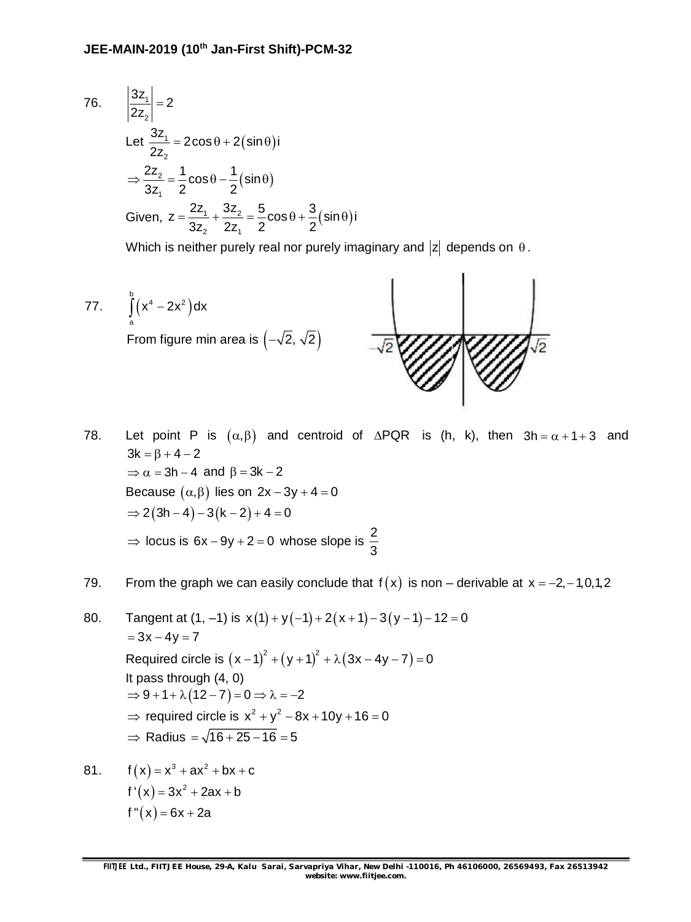76. 
$$
\left| \frac{3z_1}{2z_2} \right| = 2
$$
  
\nLet  $\frac{3z_1}{2z_2} = 2\cos\theta + 2(\sin\theta)i$   
\n $\Rightarrow \frac{2z_2}{3z_1} = \frac{1}{2}\cos\theta - \frac{1}{2}(\sin\theta)$   
\nGiven,  $z = \frac{2z_1}{3z_2} + \frac{3z_2}{2z_1} = \frac{5}{2}\cos\theta + \frac{3}{2}(\sin\theta)i$ 

Which is neither purely real nor purely imaginary and  $|z|$  depends on  $\theta$ .

77. 
$$
\int_{c}^{b} (x^4 - 2x^2) dx
$$
  
From figure min area is  $(-\sqrt{2}, \sqrt{2})$ 

78. Let point P is  $(\alpha, \beta)$  and centroid of  $\Delta PQR$  is (h, k), then  $3h = \alpha + 1 + 3$  and  $3k = \beta + 4 - 2$  $\Rightarrow \alpha = 3h - 4$  and  $\beta = 3k - 2$ Because  $(\alpha, \beta)$  lies on  $2x - 3y + 4 = 0$  $\Rightarrow$  2(3h - 4) - 3(k - 2) + 4 = 0  $\Rightarrow$  locus is 6x - 9y + 2 = 0 whose slope is  $\frac{2}{3}$ 3

### 79. From the graph we can easily conclude that  $f(x)$  is non – derivable at  $x = -2, -1, 0, 1, 2$

80. Tangent at  $(1, -1)$  is  $x(1) + y(-1) + 2(x + 1) - 3(y - 1) - 12 = 0$  $= 3x - 4y = 7$ Required circle is  $(x-1)^2 + (y+1)^2 + \lambda(3x-4y-7) = 0$ It pass through (4, 0)  $\Rightarrow$  9 + 1 +  $\lambda$  (12 - 7) = 0  $\Rightarrow$   $\lambda$  = -2  $\Rightarrow$  required circle is  $x^2 + y^2 - 8x + 10y + 16 = 0$  $\Rightarrow$  Radius =  $\sqrt{16 + 25 - 16} = 5$ 

81.  $f(x) = x^3 + ax^2 + bx + c$  $f'(x) = 3x^2 + 2ax + b$  $f''(x) = 6x + 2a$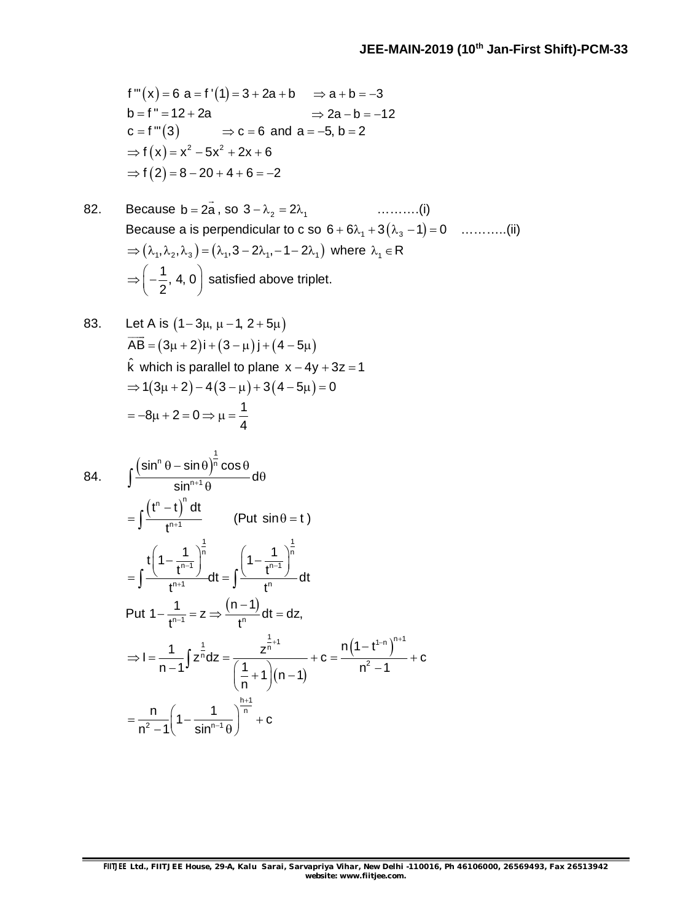$$
f'''(x) = 6 a = f'(1) = 3 + 2a + b \implies a + b = -3
$$
  
\n
$$
b = f'' = 12 + 2a \implies 2a - b = -12
$$
  
\n
$$
c = f'''(3) \implies c = 6 \text{ and } a = -5, b = 2
$$
  
\n
$$
\implies f(x) = x^2 - 5x^2 + 2x + 6
$$
  
\n
$$
\implies f(2) = 8 - 20 + 4 + 6 = -2
$$

82. Because 
$$
b = 2\overline{a}
$$
, so  $3 - \lambda_2 = 2\lambda_1$  .........(i)  
\nBecause a is perpendicular to c so  $6 + 6\lambda_1 + 3(\lambda_3 - 1) = 0$  .........(ii)  
\n $\Rightarrow (\lambda_1, \lambda_2, \lambda_3) = (\lambda_1, 3 - 2\lambda_1, -1 - 2\lambda_1)$  where  $\lambda_1 \in R$   
\n $\Rightarrow \left(-\frac{1}{2}, 4, 0\right)$  satisfied above triplet.

83. Let A is 
$$
(1-3\mu, \mu-1, 2+5\mu)
$$
  
\n $\overline{AB} = (3\mu + 2)i + (3 - \mu)j + (4 - 5\mu)$   
\n $\hat{k}$  which is parallel to plane x – 4y + 3z = 1  
\n⇒ 1(3\mu + 2) – 4(3 –  $\mu$ ) + 3(4 – 5 $\mu$ ) = 0  
\n= -8 $\mu$  + 2 = 0 ⇒  $\mu = \frac{1}{4}$ 

84. 
$$
\int \frac{(\sin^{n} \theta - \sin \theta)^{\frac{1}{n}} \cos \theta}{\sin^{n+1} \theta} d\theta
$$
  
\n
$$
= \int \frac{(t^{n} - t)^{n} dt}{t^{n+1}} \qquad (\text{Put } \sin \theta = t)
$$
  
\n
$$
= \int \frac{t \left(1 - \frac{1}{t^{n-1}}\right)^{\frac{1}{n}}}{t^{n+1}} dt = \int \frac{\left(1 - \frac{1}{t^{n-1}}\right)^{\frac{1}{n}}}{t^{n}} dt
$$
  
\nPut  $1 - \frac{1}{t^{n-1}} = z \Rightarrow \frac{(n-1)}{t^{n}} dt = dz$ ,  
\n
$$
\Rightarrow I = \frac{1}{n-1} \int z^{\frac{1}{n}} dz = \frac{z^{\frac{1}{n}+1}}{\left(\frac{1}{n} + 1\right)(n-1)} + c = \frac{n \left(1 - t^{1-n}\right)^{n+1}}{n^{2} - 1} + c
$$
  
\n
$$
= \frac{n}{n^{2} - 1} \left(1 - \frac{1}{\sin^{n-1} \theta}\right)^{\frac{h+1}{n}} + c
$$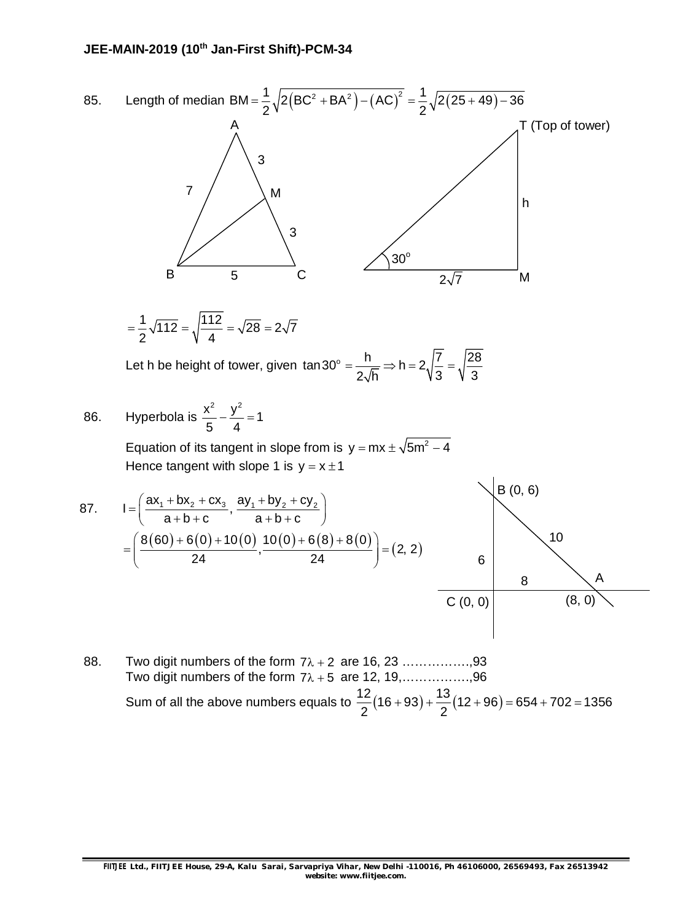

88. Two digit numbers of the form  $7\lambda + 2$  are 16, 23 ....................93 Two digit numbers of the form  $7\lambda + 5$  are 12, 19,.................96 Sum of all the above numbers equals to  $\frac{12}{0}(16+93)+\frac{13}{0}(12+96)=654+702=1356$  $2^{(2+1)}$  2  $+93$ ) +  $\frac{16}{2}$ (12 + 96) = 654 + 702 = 1